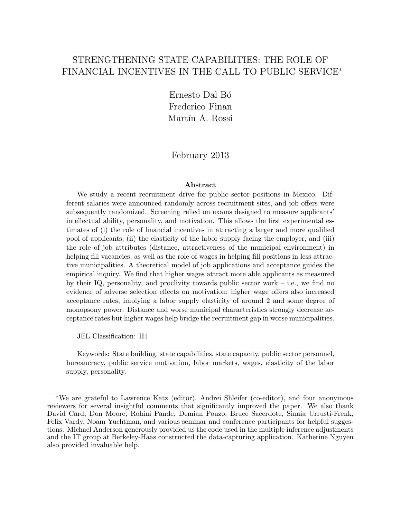# STRENGTHENING STATE CAPABILITIES: THE ROLE OF FINANCIAL INCENTIVES IN THE CALL TO PUBLIC SERVICE<sup>\*</sup>

Ernesto Dal Bó Frederico Finan Martín A. Rossi

February 2013

#### Abstract

We study a recent recruitment drive for public sector positions in Mexico. Different salaries were announced randomly across recruitment sites, and job offers were subsequently randomized. Screening relied on exams designed to measure applicants' intellectual ability, personality, and motivation. This allows the first experimental estimates of (i) the role of financial incentives in attracting a larger and more qualified pool of applicants, (ii) the elasticity of the labor supply facing the employer, and (iii) the role of job attributes (distance, attractiveness of the municipal environment) in helping fill vacancies, as well as the role of wages in helping fill positions in less attractive municipalities. A theoretical model of job applications and acceptance guides the empirical inquiry. We find that higher wages attract more able applicants as measured by their IQ, personality, and proclivity towards public sector work – i.e., we find no evidence of adverse selection effects on motivation; higher wage offers also increased acceptance rates, implying a labor supply elasticity of around 2 and some degree of monopsony power. Distance and worse municipal characteristics strongly decrease acceptance rates but higher wages help bridge the recruitment gap in worse municipalities.

JEL Classification: H1

Keywords: State building, state capabilities, state capacity, public sector personnel, bureaucracy, public service motivation, labor markets, wages, elasticity of the labor supply, personality.

<sup>∗</sup>We are grateful to Lawrence Katz (editor), Andrei Shleifer (co-editor), and four anonymous reviewers for several insightful comments that significantly improved the paper. We also thank David Card, Don Moore, Rohini Pande, Demian Pouzo, Bruce Sacerdote, Sinaia Urrusti-Frenk, Felix Vardy, Noam Yuchtman, and various seminar and conference participants for helpful suggestions. Michael Anderson generously provided us the code used in the multiple inference adjustments and the IT group at Berkeley-Haas constructed the data-capturing application. Katherine Nguyen also provided invaluable help.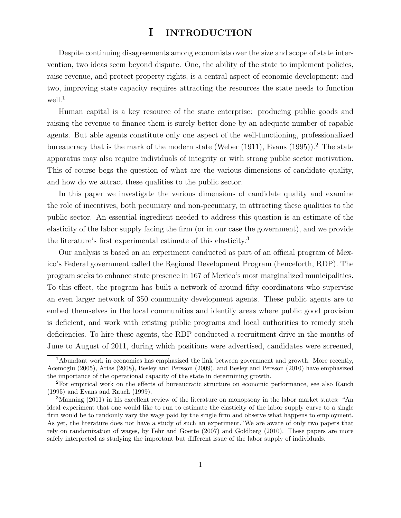# I INTRODUCTION

Despite continuing disagreements among economists over the size and scope of state intervention, two ideas seem beyond dispute. One, the ability of the state to implement policies, raise revenue, and protect property rights, is a central aspect of economic development; and two, improving state capacity requires attracting the resources the state needs to function well.<sup>1</sup>

Human capital is a key resource of the state enterprise: producing public goods and raising the revenue to finance them is surely better done by an adequate number of capable agents. But able agents constitute only one aspect of the well-functioning, professionalized bureaucracy that is the mark of the modern state (Weber  $(1911)$ , Evans  $(1995)$ ).<sup>2</sup> The state apparatus may also require individuals of integrity or with strong public sector motivation. This of course begs the question of what are the various dimensions of candidate quality, and how do we attract these qualities to the public sector.

In this paper we investigate the various dimensions of candidate quality and examine the role of incentives, both pecuniary and non-pecuniary, in attracting these qualities to the public sector. An essential ingredient needed to address this question is an estimate of the elasticity of the labor supply facing the firm (or in our case the government), and we provide the literature's first experimental estimate of this elasticity.<sup>3</sup>

Our analysis is based on an experiment conducted as part of an official program of Mexico's Federal government called the Regional Development Program (henceforth, RDP). The program seeks to enhance state presence in 167 of Mexico's most marginalized municipalities. To this effect, the program has built a network of around fifty coordinators who supervise an even larger network of 350 community development agents. These public agents are to embed themselves in the local communities and identify areas where public good provision is deficient, and work with existing public programs and local authorities to remedy such deficiencies. To hire these agents, the RDP conducted a recruitment drive in the months of June to August of 2011, during which positions were advertised, candidates were screened,

<sup>&</sup>lt;sup>1</sup>Abundant work in economics has emphasized the link between government and growth. More recently, Acemoglu (2005), Arias (2008), Besley and Persson (2009), and Besley and Persson (2010) have emphasized the importance of the operational capacity of the state in determining growth.

<sup>2</sup>For empirical work on the effects of bureaucratic structure on economic performance, see also Rauch (1995) and Evans and Rauch (1999).

<sup>&</sup>lt;sup>3</sup>Manning (2011) in his excellent review of the literature on monopsony in the labor market states: "An ideal experiment that one would like to run to estimate the elasticity of the labor supply curve to a single firm would be to randomly vary the wage paid by the single firm and observe what happens to employment. As yet, the literature does not have a study of such an experiment."We are aware of only two papers that rely on randomization of wages, by Fehr and Goette (2007) and Goldberg (2010). These papers are more safely interpreted as studying the important but different issue of the labor supply of individuals.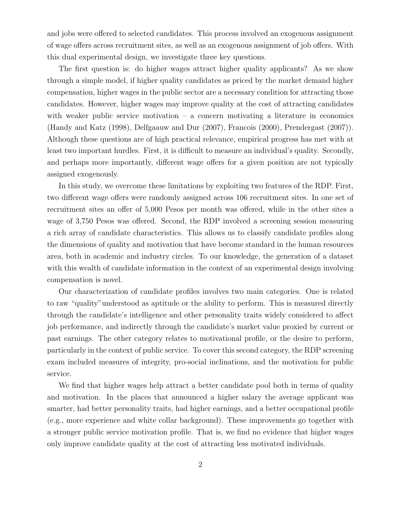and jobs were offered to selected candidates. This process involved an exogenous assignment of wage offers across recruitment sites, as well as an exogenous assignment of job offers. With this dual experimental design, we investigate three key questions.

The first question is: do higher wages attract higher quality applicants? As we show through a simple model, if higher quality candidates as priced by the market demand higher compensation, higher wages in the public sector are a necessary condition for attracting those candidates. However, higher wages may improve quality at the cost of attracting candidates with weaker public service motivation  $-$  a concern motivating a literature in economics (Handy and Katz (1998), Delfgaauw and Dur (2007), Francois (2000), Prendergast (2007)). Although these questions are of high practical relevance, empirical progress has met with at least two important hurdles. First, it is difficult to measure an individual's quality. Secondly, and perhaps more importantly, different wage offers for a given position are not typically assigned exogenously.

In this study, we overcome these limitations by exploiting two features of the RDP. First, two different wage offers were randomly assigned across 106 recruitment sites. In one set of recruitment sites an offer of 5,000 Pesos per month was offered, while in the other sites a wage of 3,750 Pesos was offered. Second, the RDP involved a screening session measuring a rich array of candidate characteristics. This allows us to classify candidate profiles along the dimensions of quality and motivation that have become standard in the human resources area, both in academic and industry circles. To our knowledge, the generation of a dataset with this wealth of candidate information in the context of an experimental design involving compensation is novel.

Our characterization of candidate profiles involves two main categories. One is related to raw "quality"understood as aptitude or the ability to perform. This is measured directly through the candidate's intelligence and other personality traits widely considered to affect job performance, and indirectly through the candidate's market value proxied by current or past earnings. The other category relates to motivational profile, or the desire to perform, particularly in the context of public service. To cover this second category, the RDP screening exam included measures of integrity, pro-social inclinations, and the motivation for public service.

We find that higher wages help attract a better candidate pool both in terms of quality and motivation. In the places that announced a higher salary the average applicant was smarter, had better personality traits, had higher earnings, and a better occupational profile (e.g., more experience and white collar background). These improvements go together with a stronger public service motivation profile. That is, we find no evidence that higher wages only improve candidate quality at the cost of attracting less motivated individuals.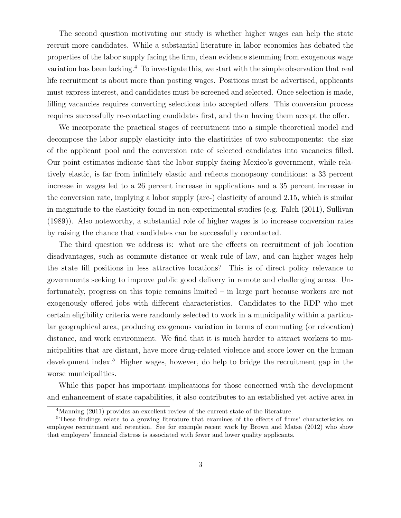The second question motivating our study is whether higher wages can help the state recruit more candidates. While a substantial literature in labor economics has debated the properties of the labor supply facing the firm, clean evidence stemming from exogenous wage variation has been lacking.<sup>4</sup> To investigate this, we start with the simple observation that real life recruitment is about more than posting wages. Positions must be advertised, applicants must express interest, and candidates must be screened and selected. Once selection is made, filling vacancies requires converting selections into accepted offers. This conversion process requires successfully re-contacting candidates first, and then having them accept the offer.

We incorporate the practical stages of recruitment into a simple theoretical model and decompose the labor supply elasticity into the elasticities of two subcomponents: the size of the applicant pool and the conversion rate of selected candidates into vacancies filled. Our point estimates indicate that the labor supply facing Mexico's government, while relatively elastic, is far from infinitely elastic and reflects monopsony conditions: a 33 percent increase in wages led to a 26 percent increase in applications and a 35 percent increase in the conversion rate, implying a labor supply (arc-) elasticity of around 2.15, which is similar in magnitude to the elasticity found in non-experimental studies (e.g. Falch (2011), Sullivan (1989)). Also noteworthy, a substantial role of higher wages is to increase conversion rates by raising the chance that candidates can be successfully recontacted.

The third question we address is: what are the effects on recruitment of job location disadvantages, such as commute distance or weak rule of law, and can higher wages help the state fill positions in less attractive locations? This is of direct policy relevance to governments seeking to improve public good delivery in remote and challenging areas. Unfortunately, progress on this topic remains limited – in large part because workers are not exogenously offered jobs with different characteristics. Candidates to the RDP who met certain eligibility criteria were randomly selected to work in a municipality within a particular geographical area, producing exogenous variation in terms of commuting (or relocation) distance, and work environment. We find that it is much harder to attract workers to municipalities that are distant, have more drug-related violence and score lower on the human development index.<sup>5</sup> Higher wages, however, do help to bridge the recruitment gap in the worse municipalities.

While this paper has important implications for those concerned with the development and enhancement of state capabilities, it also contributes to an established yet active area in

<sup>&</sup>lt;sup>4</sup>Manning (2011) provides an excellent review of the current state of the literature.

<sup>&</sup>lt;sup>5</sup>These findings relate to a growing literature that examines of the effects of firms' characteristics on employee recruitment and retention. See for example recent work by Brown and Matsa (2012) who show that employers' financial distress is associated with fewer and lower quality applicants.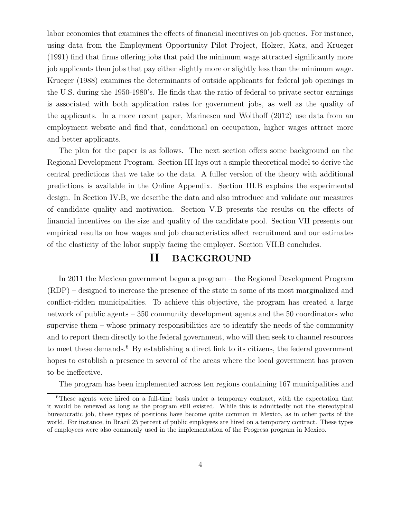labor economics that examines the effects of financial incentives on job queues. For instance, using data from the Employment Opportunity Pilot Project, Holzer, Katz, and Krueger (1991) find that firms offering jobs that paid the minimum wage attracted significantly more job applicants than jobs that pay either slightly more or slightly less than the minimum wage. Krueger (1988) examines the determinants of outside applicants for federal job openings in the U.S. during the 1950-1980's. He finds that the ratio of federal to private sector earnings is associated with both application rates for government jobs, as well as the quality of the applicants. In a more recent paper, Marinescu and Wolthoff (2012) use data from an employment website and find that, conditional on occupation, higher wages attract more and better applicants.

The plan for the paper is as follows. The next section offers some background on the Regional Development Program. Section III lays out a simple theoretical model to derive the central predictions that we take to the data. A fuller version of the theory with additional predictions is available in the Online Appendix. Section III.B explains the experimental design. In Section IV.B, we describe the data and also introduce and validate our measures of candidate quality and motivation. Section V.B presents the results on the effects of financial incentives on the size and quality of the candidate pool. Section VII presents our empirical results on how wages and job characteristics affect recruitment and our estimates of the elasticity of the labor supply facing the employer. Section VII.B concludes.

## II BACKGROUND

In 2011 the Mexican government began a program – the Regional Development Program (RDP) – designed to increase the presence of the state in some of its most marginalized and conflict-ridden municipalities. To achieve this objective, the program has created a large network of public agents – 350 community development agents and the 50 coordinators who supervise them – whose primary responsibilities are to identify the needs of the community and to report them directly to the federal government, who will then seek to channel resources to meet these demands.<sup>6</sup> By establishing a direct link to its citizens, the federal government hopes to establish a presence in several of the areas where the local government has proven to be ineffective.

The program has been implemented across ten regions containing 167 municipalities and

<sup>6</sup>These agents were hired on a full-time basis under a temporary contract, with the expectation that it would be renewed as long as the program still existed. While this is admittedly not the stereotypical bureaucratic job, these types of positions have become quite common in Mexico, as in other parts of the world. For instance, in Brazil 25 percent of public employees are hired on a temporary contract. These types of employees were also commonly used in the implementation of the Progresa program in Mexico.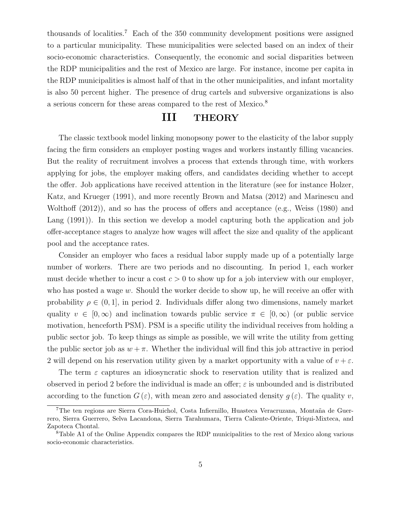thousands of localities.<sup>7</sup> Each of the 350 community development positions were assigned to a particular municipality. These municipalities were selected based on an index of their socio-economic characteristics. Consequently, the economic and social disparities between the RDP municipalities and the rest of Mexico are large. For instance, income per capita in the RDP municipalities is almost half of that in the other municipalities, and infant mortality is also 50 percent higher. The presence of drug cartels and subversive organizations is also a serious concern for these areas compared to the rest of Mexico.<sup>8</sup>

## III THEORY

The classic textbook model linking monopsony power to the elasticity of the labor supply facing the firm considers an employer posting wages and workers instantly filling vacancies. But the reality of recruitment involves a process that extends through time, with workers applying for jobs, the employer making offers, and candidates deciding whether to accept the offer. Job applications have received attention in the literature (see for instance Holzer, Katz, and Krueger (1991), and more recently Brown and Matsa (2012) and Marinescu and Wolthoff (2012)), and so has the process of offers and acceptance (e.g., Weiss (1980) and Lang  $(1991)$ ). In this section we develop a model capturing both the application and job offer-acceptance stages to analyze how wages will affect the size and quality of the applicant pool and the acceptance rates.

Consider an employer who faces a residual labor supply made up of a potentially large number of workers. There are two periods and no discounting. In period 1, each worker must decide whether to incur a cost  $c > 0$  to show up for a job interview with our employer, who has posted a wage w. Should the worker decide to show up, he will receive an offer with probability  $\rho \in (0, 1]$ , in period 2. Individuals differ along two dimensions, namely market quality  $v \in [0,\infty)$  and inclination towards public service  $\pi \in [0,\infty)$  (or public service motivation, henceforth PSM). PSM is a specific utility the individual receives from holding a public sector job. To keep things as simple as possible, we will write the utility from getting the public sector job as  $w + \pi$ . Whether the individual will find this job attractive in period 2 will depend on his reservation utility given by a market opportunity with a value of  $v + \varepsilon$ .

The term  $\varepsilon$  captures an idiosyncratic shock to reservation utility that is realized and observed in period 2 before the individual is made an offer;  $\varepsilon$  is unbounded and is distributed according to the function  $G(\varepsilon)$ , with mean zero and associated density  $g(\varepsilon)$ . The quality v,

<sup>&</sup>lt;sup>7</sup>The ten regions are Sierra Cora-Huichol, Costa Infiernillo, Huasteca Veracruzana, Montaña de Guerrero, Sierra Guerrero, Selva Lacandona, Sierra Tarahumara, Tierra Caliente-Oriente, Triqui-Mixteca, and Zapoteca Chontal.

<sup>8</sup>Table A1 of the Online Appendix compares the RDP municipalities to the rest of Mexico along various socio-economic characteristics.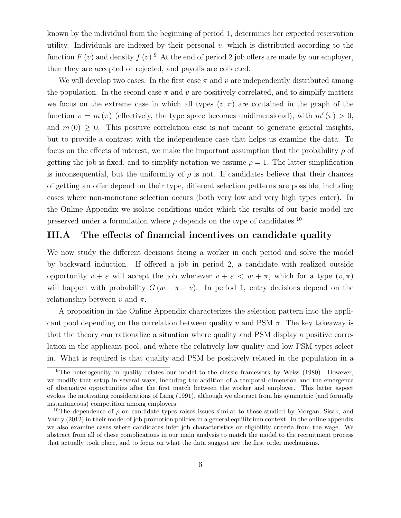known by the individual from the beginning of period 1, determines her expected reservation utility. Individuals are indexed by their personal  $v$ , which is distributed according to the function  $F(v)$  and density  $f(v)$ . At the end of period 2 job offers are made by our employer, then they are accepted or rejected, and payoffs are collected.

We will develop two cases. In the first case  $\pi$  and  $v$  are independently distributed among the population. In the second case  $\pi$  and v are positively correlated, and to simplify matters we focus on the extreme case in which all types  $(v, \pi)$  are contained in the graph of the function  $v = m(\pi)$  (effectively, the type space becomes unidimensional), with  $m'(\pi) > 0$ , and  $m(0) \geq 0$ . This positive correlation case is not meant to generate general insights, but to provide a contrast with the independence case that helps us examine the data. To focus on the effects of interest, we make the important assumption that the probability  $\rho$  of getting the job is fixed, and to simplify notation we assume  $\rho = 1$ . The latter simplification is inconsequential, but the uniformity of  $\rho$  is not. If candidates believe that their chances of getting an offer depend on their type, different selection patterns are possible, including cases where non-monotone selection occurs (both very low and very high types enter). In the Online Appendix we isolate conditions under which the results of our basic model are preserved under a formulation where  $\rho$  depends on the type of candidates.<sup>10</sup>

## III.A The effects of financial incentives on candidate quality

We now study the different decisions facing a worker in each period and solve the model by backward induction. If offered a job in period 2, a candidate with realized outside opportunity  $v + \varepsilon$  will accept the job whenever  $v + \varepsilon < w + \pi$ , which for a type  $(v, \pi)$ will happen with probability  $G(w + \pi - v)$ . In period 1, entry decisions depend on the relationship between v and  $\pi$ .

A proposition in the Online Appendix characterizes the selection pattern into the applicant pool depending on the correlation between quality v and PSM  $\pi$ . The key takeaway is that the theory can rationalize a situation where quality and PSM display a positive correlation in the applicant pool, and where the relatively low quality and low PSM types select in. What is required is that quality and PSM be positively related in the population in a

<sup>9</sup>The heterogeneity in quality relates our model to the classic framework by Weiss (1980). However, we modify that setup in several ways, including the addition of a temporal dimension and the emergence of alternative opportunities after the first match between the worker and employer. This latter aspect evokes the motivating considerations of Lang (1991), although we abstract from his symmetric (and formally instantaneous) competition among employers.

<sup>&</sup>lt;sup>10</sup>The dependence of  $\rho$  on candidate types raises issues similar to those studied by Morgan, Sisak, and Vardy (2012) in their model of job promotion policies in a general equilibrium context. In the online appendix we also examine cases where candidates infer job characteristics or eligibility criteria from the wage. We abstract from all of these complications in our main analysis to match the model to the recruitment process that actually took place, and to focus on what the data suggest are the first order mechanisms.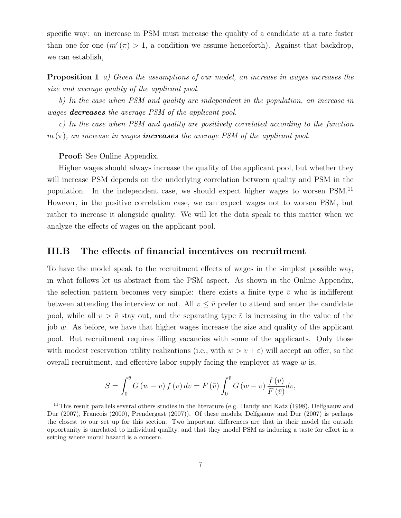specific way: an increase in PSM must increase the quality of a candidate at a rate faster than one for one  $(m'(\pi) > 1$ , a condition we assume henceforth). Against that backdrop, we can establish,

**Proposition 1** a) Given the assumptions of our model, an increase in wages increases the size and average quality of the applicant pool.

b) In the case when PSM and quality are independent in the population, an increase in wages **decreases** the average PSM of the applicant pool.

c) In the case when PSM and quality are positively correlated according to the function  $m(\pi)$ , an increase in wages **increases** the average PSM of the applicant pool.

#### Proof: See Online Appendix.

Higher wages should always increase the quality of the applicant pool, but whether they will increase PSM depends on the underlying correlation between quality and PSM in the population. In the independent case, we should expect higher wages to worsen PSM.<sup>11</sup> However, in the positive correlation case, we can expect wages not to worsen PSM, but rather to increase it alongside quality. We will let the data speak to this matter when we analyze the effects of wages on the applicant pool.

### III.B The effects of financial incentives on recruitment

To have the model speak to the recruitment effects of wages in the simplest possible way, in what follows let us abstract from the PSM aspect. As shown in the Online Appendix, the selection pattern becomes very simple: there exists a finite type  $\bar{v}$  who is indifferent between attending the interview or not. All  $v \leq \bar{v}$  prefer to attend and enter the candidate pool, while all  $v > \bar{v}$  stay out, and the separating type  $\bar{v}$  is increasing in the value of the job  $w$ . As before, we have that higher wages increase the size and quality of the applicant pool. But recruitment requires filling vacancies with some of the applicants. Only those with modest reservation utility realizations (i.e., with  $w > v + \varepsilon$ ) will accept an offer, so the overall recruitment, and effective labor supply facing the employer at wage  $w$  is,

$$
S = \int_0^{\bar{v}} G(w - v) f(v) dv = F(\bar{v}) \int_0^{\bar{v}} G(w - v) \frac{f(v)}{F(\bar{v})} dv,
$$

<sup>&</sup>lt;sup>11</sup>This result parallels several others studies in the literature (e.g. Handy and Katz (1998), Delfgaauw and Dur (2007), Francois (2000), Prendergast (2007)). Of these models, Delfgaauw and Dur (2007) is perhaps the closest to our set up for this section. Two important differences are that in their model the outside opportunity is unrelated to individual quality, and that they model PSM as inducing a taste for effort in a setting where moral hazard is a concern.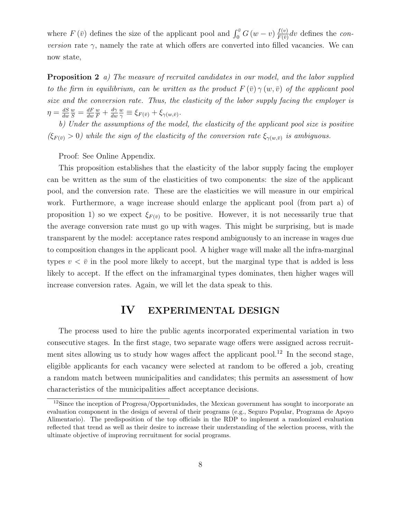where  $F(\bar{v})$  defines the size of the applicant pool and  $\int_0^{\bar{v}} G(w-v) \frac{f(v)}{F(\bar{v})}$  $\frac{f(v)}{F(\bar{v})}$ dv defines the con*version* rate  $\gamma$ , namely the rate at which offers are converted into filled vacancies. We can now state,

**Proposition 2** a) The measure of recruited candidates in our model, and the labor supplied to the firm in equilibrium, can be written as the product  $F(\bar{v}) \gamma(w, \bar{v})$  of the applicant pool size and the conversion rate. Thus, the elasticity of the labor supply facing the employer is  $\eta = \frac{dS}{dw}$ dw  $\frac{w}{S}=\frac{dF}{du}$ dw  $\frac{w}{F}+\frac{d\gamma}{du}$ dw w  $\frac{w}{\gamma} \equiv \xi_{F(\bar{v})} + \xi_{\gamma(w,\bar{v})}.$ 

b) Under the assumptions of the model, the elasticity of the applicant pool size is positive  $(\xi_{F(\bar{v})} > 0)$  while the sign of the elasticity of the conversion rate  $\xi_{\gamma(w,\bar{v})}$  is ambiguous.

Proof: See Online Appendix.

This proposition establishes that the elasticity of the labor supply facing the employer can be written as the sum of the elasticities of two components: the size of the applicant pool, and the conversion rate. These are the elasticities we will measure in our empirical work. Furthermore, a wage increase should enlarge the applicant pool (from part a) of proposition 1) so we expect  $\xi_{F(\bar{v})}$  to be positive. However, it is not necessarily true that the average conversion rate must go up with wages. This might be surprising, but is made transparent by the model: acceptance rates respond ambiguously to an increase in wages due to composition changes in the applicant pool. A higher wage will make all the infra-marginal types  $v < \bar{v}$  in the pool more likely to accept, but the marginal type that is added is less likely to accept. If the effect on the inframarginal types dominates, then higher wages will increase conversion rates. Again, we will let the data speak to this.

## IV EXPERIMENTAL DESIGN

The process used to hire the public agents incorporated experimental variation in two consecutive stages. In the first stage, two separate wage offers were assigned across recruitment sites allowing us to study how wages affect the applicant pool.<sup>12</sup> In the second stage, eligible applicants for each vacancy were selected at random to be offered a job, creating a random match between municipalities and candidates; this permits an assessment of how characteristics of the municipalities affect acceptance decisions.

<sup>&</sup>lt;sup>12</sup>Since the inception of Progresa/Opportunidades, the Mexican government has sought to incorporate an evaluation component in the design of several of their programs (e.g., Seguro Popular, Programa de Apoyo Alimentario). The predisposition of the top officials in the RDP to implement a randomized evaluation reflected that trend as well as their desire to increase their understanding of the selection process, with the ultimate objective of improving recruitment for social programs.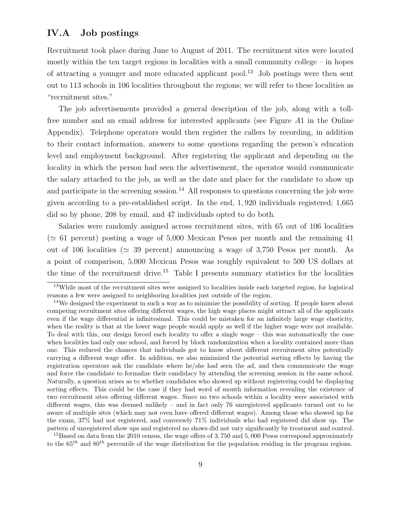## IV.A Job postings

Recruitment took place during June to August of 2011. The recruitment sites were located mostly within the ten target regions in localities with a small community college – in hopes of attracting a younger and more educated applicant pool.<sup>13</sup> Job postings were then sent out to 113 schools in 106 localities throughout the regions; we will refer to these localities as "recruitment sites."

The job advertisements provided a general description of the job, along with a tollfree number and an email address for interested applicants (see Figure A1 in the Online Appendix). Telephone operators would then register the callers by recording, in addition to their contact information, answers to some questions regarding the person's education level and employment background. After registering the applicant and depending on the locality in which the person had seen the advertisement, the operator would communicate the salary attached to the job, as well as the date and place for the candidate to show up and participate in the screening session.<sup>14</sup> All responses to questions concerning the job were given according to a pre-established script. In the end, 1, 920 individuals registered; 1,665 did so by phone, 208 by email, and 47 individuals opted to do both.

Salaries were randomly assigned across recruitment sites, with 65 out of 106 localities ( $\approx$  61 percent) posting a wage of 5,000 Mexican Pesos per month and the remaining 41 out of 106 localities ( $\approx$  39 percent) announcing a wage of 3,750 Pesos per month. As a point of comparison, 5,000 Mexican Pesos was roughly equivalent to 500 US dollars at the time of the recruitment drive.<sup>15</sup> Table I presents summary statistics for the localities

<sup>15</sup>Based on data from the 2010 census, the wage offers of 3,750 and 5,000 Pesos correspond approximately to the  $65^{th}$  and  $80^{th}$  percentile of the wage distribution for the population residing in the program regions.

<sup>&</sup>lt;sup>13</sup>While most of the recruitment sites were assigned to localities inside each targeted region, for logistical reasons a few were assigned to neighboring localities just outside of the region.

<sup>&</sup>lt;sup>14</sup>We designed the experiment in such a way as to minimize the possibility of sorting. If people knew about competing recruitment sites offering different wages, the high wage places might attract all of the applicants even if the wage differential is infinitesimal. This could be mistaken for an infinitely large wage elasticity, when the reality is that at the lower wage people would apply as well if the higher wage were not available. To deal with this, our design forced each locality to offer a single wage – this was automatically the case when localities had only one school, and forced by block randomization when a locality contained more than one. This reduced the chances that individuals got to know about different recruitment sites potentially carrying a different wage offer. In addition, we also minimized the potential sorting effects by having the registration operators ask the candidate where he/she had seen the ad, and then communicate the wage and force the candidate to formalize their candidacy by attending the screening session in the same school. Naturally, a question arises as to whether candidates who showed up without registering could be displaying sorting effects. This could be the case if they had word of mouth information revealing the existence of two recruitment sites offering different wages. Since no two schools within a locality were associated with different wages, this was deemed unlikely – and in fact only 76 unregistered applicants turned out to be aware of multiple sites (which may not even have offered different wages). Among those who showed up for the exam, 37% had not registered, and conversely 71% individuals who had registered did show up. The pattern of unregistered show ups and registered no shows did not vary significantly by treatment and control.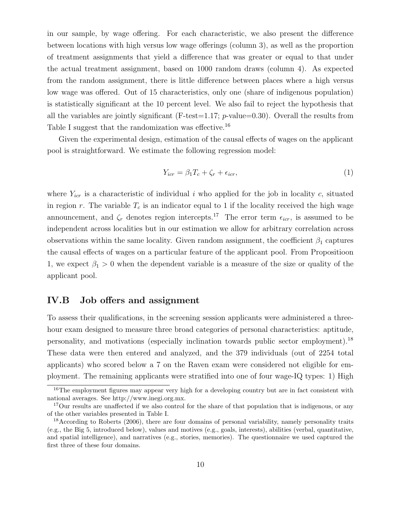in our sample, by wage offering. For each characteristic, we also present the difference between locations with high versus low wage offerings (column 3), as well as the proportion of treatment assignments that yield a difference that was greater or equal to that under the actual treatment assignment, based on 1000 random draws (column 4). As expected from the random assignment, there is little difference between places where a high versus low wage was offered. Out of 15 characteristics, only one (share of indigenous population) is statistically significant at the 10 percent level. We also fail to reject the hypothesis that all the variables are jointly significant (F-test=1.17;  $p$ -value=0.30). Overall the results from Table I suggest that the randomization was effective.<sup>16</sup>

Given the experimental design, estimation of the causal effects of wages on the applicant pool is straightforward. We estimate the following regression model:

$$
Y_{icr} = \beta_1 T_c + \zeta_r + \epsilon_{icr},\tag{1}
$$

where  $Y_{icr}$  is a characteristic of individual i who applied for the job in locality c, situated in region r. The variable  $T_c$  is an indicator equal to 1 if the locality received the high wage announcement, and  $\zeta_r$  denotes region intercepts.<sup>17</sup> The error term  $\epsilon_{icr}$ , is assumed to be independent across localities but in our estimation we allow for arbitrary correlation across observations within the same locality. Given random assignment, the coefficient  $\beta_1$  captures the causal effects of wages on a particular feature of the applicant pool. From Propositioon 1, we expect  $\beta_1 > 0$  when the dependent variable is a measure of the size or quality of the applicant pool.

### IV.B Job offers and assignment

To assess their qualifications, in the screening session applicants were administered a threehour exam designed to measure three broad categories of personal characteristics: aptitude, personality, and motivations (especially inclination towards public sector employment).<sup>18</sup> These data were then entered and analyzed, and the 379 individuals (out of 2254 total applicants) who scored below a 7 on the Raven exam were considered not eligible for employment. The remaining applicants were stratified into one of four wage-IQ types: 1) High

<sup>&</sup>lt;sup>16</sup>The employment figures may appear very high for a developing country but are in fact consistent with national averages. See http://www.inegi.org.mx.

<sup>&</sup>lt;sup>17</sup>Our results are unaffected if we also control for the share of that population that is indigenous, or any of the other variables presented in Table I.

<sup>&</sup>lt;sup>18</sup>According to Roberts (2006), there are four domains of personal variability, namely personality traits (e.g., the Big 5, introduced below), values and motives (e.g., goals, interests), abilities (verbal, quantitative, and spatial intelligence), and narratives (e.g., stories, memories). The questionnaire we used captured the first three of these four domains.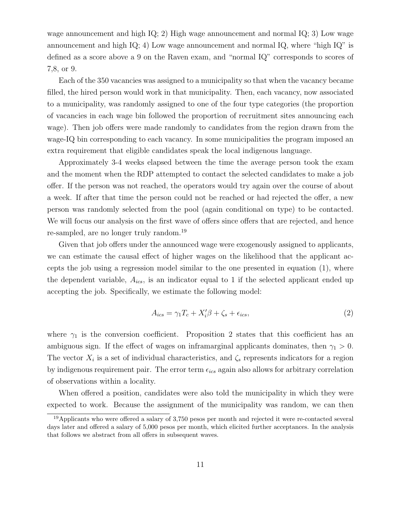wage announcement and high IQ; 2) High wage announcement and normal IQ; 3) Low wage announcement and high IQ; 4) Low wage announcement and normal IQ, where "high IQ" is defined as a score above a 9 on the Raven exam, and "normal IQ" corresponds to scores of 7,8, or 9.

Each of the 350 vacancies was assigned to a municipality so that when the vacancy became filled, the hired person would work in that municipality. Then, each vacancy, now associated to a municipality, was randomly assigned to one of the four type categories (the proportion of vacancies in each wage bin followed the proportion of recruitment sites announcing each wage). Then job offers were made randomly to candidates from the region drawn from the wage-IQ bin corresponding to each vacancy. In some municipalities the program imposed an extra requirement that eligible candidates speak the local indigenous language.

Approximately 3-4 weeks elapsed between the time the average person took the exam and the moment when the RDP attempted to contact the selected candidates to make a job offer. If the person was not reached, the operators would try again over the course of about a week. If after that time the person could not be reached or had rejected the offer, a new person was randomly selected from the pool (again conditional on type) to be contacted. We will focus our analysis on the first wave of offers since offers that are rejected, and hence re-sampled, are no longer truly random.<sup>19</sup>

Given that job offers under the announced wage were exogenously assigned to applicants, we can estimate the causal effect of higher wages on the likelihood that the applicant accepts the job using a regression model similar to the one presented in equation (1), where the dependent variable,  $A_{ics}$ , is an indicator equal to 1 if the selected applicant ended up accepting the job. Specifically, we estimate the following model:

$$
A_{ics} = \gamma_1 T_c + X_i' \beta + \zeta_s + \epsilon_{ics},\tag{2}
$$

where  $\gamma_1$  is the conversion coefficient. Proposition 2 states that this coefficient has an ambiguous sign. If the effect of wages on inframarginal applicants dominates, then  $\gamma_1 > 0$ . The vector  $X_i$  is a set of individual characteristics, and  $\zeta_s$  represents indicators for a region by indigenous requirement pair. The error term  $\epsilon_{ics}$  again also allows for arbitrary correlation of observations within a locality.

When offered a position, candidates were also told the municipality in which they were expected to work. Because the assignment of the municipality was random, we can then

<sup>&</sup>lt;sup>19</sup>Applicants who were offered a salary of 3,750 pesos per month and rejected it were re-contacted several days later and offered a salary of 5,000 pesos per month, which elicited further acceptances. In the analysis that follows we abstract from all offers in subsequent waves.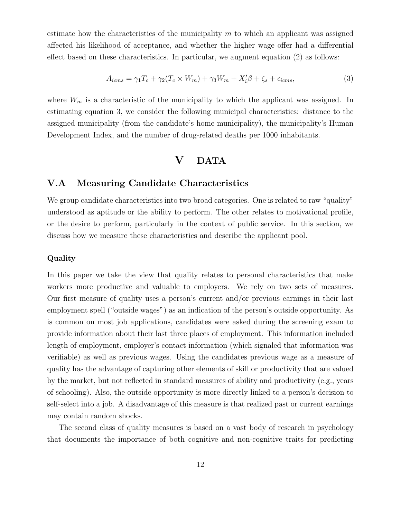estimate how the characteristics of the municipality  $m$  to which an applicant was assigned affected his likelihood of acceptance, and whether the higher wage offer had a differential effect based on these characteristics. In particular, we augment equation (2) as follows:

$$
A_{icms} = \gamma_1 T_c + \gamma_2 (T_c \times W_m) + \gamma_3 W_m + X_i' \beta + \zeta_s + \epsilon_{icms},\tag{3}
$$

where  $W_m$  is a characteristic of the municipality to which the applicant was assigned. In estimating equation 3, we consider the following municipal characteristics: distance to the assigned municipality (from the candidate's home municipality), the municipality's Human Development Index, and the number of drug-related deaths per 1000 inhabitants.

# V DATA

## V.A Measuring Candidate Characteristics

We group candidate characteristics into two broad categories. One is related to raw "quality" understood as aptitude or the ability to perform. The other relates to motivational profile, or the desire to perform, particularly in the context of public service. In this section, we discuss how we measure these characteristics and describe the applicant pool.

#### Quality

In this paper we take the view that quality relates to personal characteristics that make workers more productive and valuable to employers. We rely on two sets of measures. Our first measure of quality uses a person's current and/or previous earnings in their last employment spell ("outside wages") as an indication of the person's outside opportunity. As is common on most job applications, candidates were asked during the screening exam to provide information about their last three places of employment. This information included length of employment, employer's contact information (which signaled that information was verifiable) as well as previous wages. Using the candidates previous wage as a measure of quality has the advantage of capturing other elements of skill or productivity that are valued by the market, but not reflected in standard measures of ability and productivity (e.g., years of schooling). Also, the outside opportunity is more directly linked to a person's decision to self-select into a job. A disadvantage of this measure is that realized past or current earnings may contain random shocks.

The second class of quality measures is based on a vast body of research in psychology that documents the importance of both cognitive and non-cognitive traits for predicting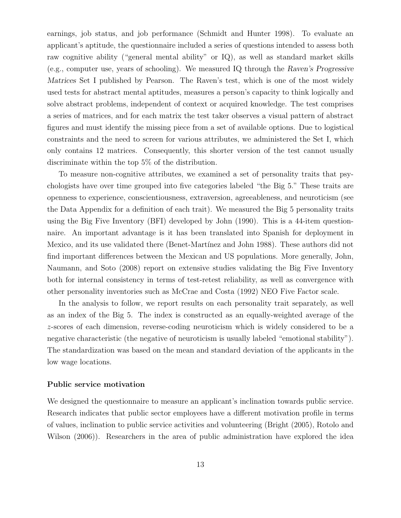earnings, job status, and job performance (Schmidt and Hunter 1998). To evaluate an applicant's aptitude, the questionnaire included a series of questions intended to assess both raw cognitive ability ("general mental ability" or IQ), as well as standard market skills (e.g., computer use, years of schooling). We measured IQ through the Raven's Progressive Matrices Set I published by Pearson. The Raven's test, which is one of the most widely used tests for abstract mental aptitudes, measures a person's capacity to think logically and solve abstract problems, independent of context or acquired knowledge. The test comprises a series of matrices, and for each matrix the test taker observes a visual pattern of abstract figures and must identify the missing piece from a set of available options. Due to logistical constraints and the need to screen for various attributes, we administered the Set I, which only contains 12 matrices. Consequently, this shorter version of the test cannot usually discriminate within the top 5% of the distribution.

To measure non-cognitive attributes, we examined a set of personality traits that psychologists have over time grouped into five categories labeled "the Big 5." These traits are openness to experience, conscientiousness, extraversion, agreeableness, and neuroticism (see the Data Appendix for a definition of each trait). We measured the Big 5 personality traits using the Big Five Inventory (BFI) developed by John (1990). This is a 44-item questionnaire. An important advantage is it has been translated into Spanish for deployment in Mexico, and its use validated there (Benet-Martínez and John 1988). These authors did not find important differences between the Mexican and US populations. More generally, John, Naumann, and Soto (2008) report on extensive studies validating the Big Five Inventory both for internal consistency in terms of test-retest reliability, as well as convergence with other personality inventories such as McCrae and Costa (1992) NEO Five Factor scale.

In the analysis to follow, we report results on each personality trait separately, as well as an index of the Big 5. The index is constructed as an equally-weighted average of the z-scores of each dimension, reverse-coding neuroticism which is widely considered to be a negative characteristic (the negative of neuroticism is usually labeled "emotional stability"). The standardization was based on the mean and standard deviation of the applicants in the low wage locations.

#### Public service motivation

We designed the questionnaire to measure an applicant's inclination towards public service. Research indicates that public sector employees have a different motivation profile in terms of values, inclination to public service activities and volunteering (Bright (2005), Rotolo and Wilson (2006)). Researchers in the area of public administration have explored the idea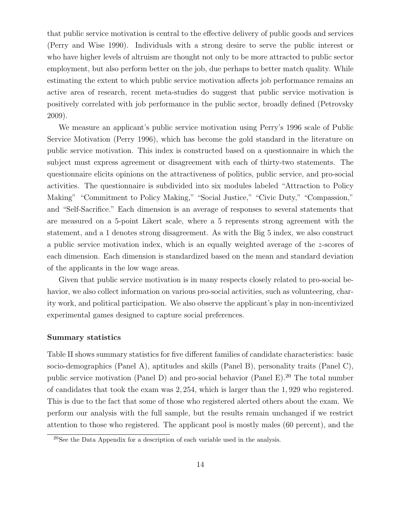that public service motivation is central to the effective delivery of public goods and services (Perry and Wise 1990). Individuals with a strong desire to serve the public interest or who have higher levels of altruism are thought not only to be more attracted to public sector employment, but also perform better on the job, due perhaps to better match quality. While estimating the extent to which public service motivation affects job performance remains an active area of research, recent meta-studies do suggest that public service motivation is positively correlated with job performance in the public sector, broadly defined (Petrovsky 2009).

We measure an applicant's public service motivation using Perry's 1996 scale of Public Service Motivation (Perry 1996), which has become the gold standard in the literature on public service motivation. This index is constructed based on a questionnaire in which the subject must express agreement or disagreement with each of thirty-two statements. The questionnaire elicits opinions on the attractiveness of politics, public service, and pro-social activities. The questionnaire is subdivided into six modules labeled "Attraction to Policy Making" "Commitment to Policy Making," "Social Justice," "Civic Duty," "Compassion," and "Self-Sacrifice." Each dimension is an average of responses to several statements that are measured on a 5-point Likert scale, where a 5 represents strong agreement with the statement, and a 1 denotes strong disagreement. As with the Big 5 index, we also construct a public service motivation index, which is an equally weighted average of the z-scores of each dimension. Each dimension is standardized based on the mean and standard deviation of the applicants in the low wage areas.

Given that public service motivation is in many respects closely related to pro-social behavior, we also collect information on various pro-social activities, such as volunteering, charity work, and political participation. We also observe the applicant's play in non-incentivized experimental games designed to capture social preferences.

#### Summary statistics

Table II shows summary statistics for five different families of candidate characteristics: basic socio-demographics (Panel A), aptitudes and skills (Panel B), personality traits (Panel C), public service motivation (Panel D) and pro-social behavior (Panel E).<sup>20</sup> The total number of candidates that took the exam was 2, 254, which is larger than the 1, 929 who registered. This is due to the fact that some of those who registered alerted others about the exam. We perform our analysis with the full sample, but the results remain unchanged if we restrict attention to those who registered. The applicant pool is mostly males (60 percent), and the

<sup>20</sup>See the Data Appendix for a description of each variable used in the analysis.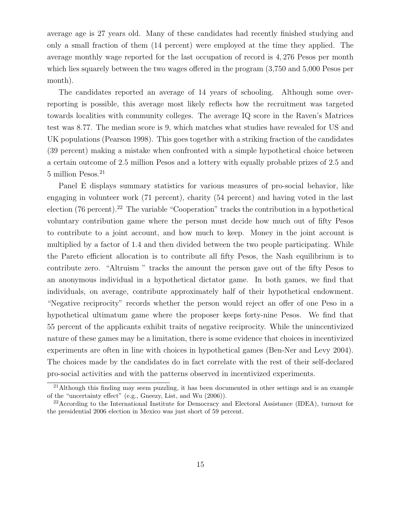average age is 27 years old. Many of these candidates had recently finished studying and only a small fraction of them (14 percent) were employed at the time they applied. The average monthly wage reported for the last occupation of record is 4, 276 Pesos per month which lies squarely between the two wages offered in the program (3,750 and 5,000 Pesos per month).

The candidates reported an average of 14 years of schooling. Although some overreporting is possible, this average most likely reflects how the recruitment was targeted towards localities with community colleges. The average IQ score in the Raven's Matrices test was 8.77. The median score is 9, which matches what studies have revealed for US and UK populations (Pearson 1998). This goes together with a striking fraction of the candidates (39 percent) making a mistake when confronted with a simple hypothetical choice between a certain outcome of 2.5 million Pesos and a lottery with equally probable prizes of 2.5 and 5 million Pesos.<sup>21</sup>

Panel E displays summary statistics for various measures of pro-social behavior, like engaging in volunteer work (71 percent), charity (54 percent) and having voted in the last election  $(76$  percent).<sup>22</sup> The variable "Cooperation" tracks the contribution in a hypothetical voluntary contribution game where the person must decide how much out of fifty Pesos to contribute to a joint account, and how much to keep. Money in the joint account is multiplied by a factor of 1.4 and then divided between the two people participating. While the Pareto efficient allocation is to contribute all fifty Pesos, the Nash equilibrium is to contribute zero. "Altruism " tracks the amount the person gave out of the fifty Pesos to an anonymous individual in a hypothetical dictator game. In both games, we find that individuals, on average, contribute approximately half of their hypothetical endowment. "Negative reciprocity" records whether the person would reject an offer of one Peso in a hypothetical ultimatum game where the proposer keeps forty-nine Pesos. We find that 55 percent of the applicants exhibit traits of negative reciprocity. While the unincentivized nature of these games may be a limitation, there is some evidence that choices in incentivized experiments are often in line with choices in hypothetical games (Ben-Ner and Levy 2004). The choices made by the candidates do in fact correlate with the rest of their self-declared pro-social activities and with the patterns observed in incentivized experiments.

<sup>&</sup>lt;sup>21</sup>Although this finding may seem puzzling, it has been documented in other settings and is an example of the "uncertainty effect" (e.g., Gneezy, List, and Wu (2006)).

<sup>22</sup>According to the International Institute for Democracy and Electoral Assistance (IDEA), turnout for the presidential 2006 election in Mexico was just short of 59 percent.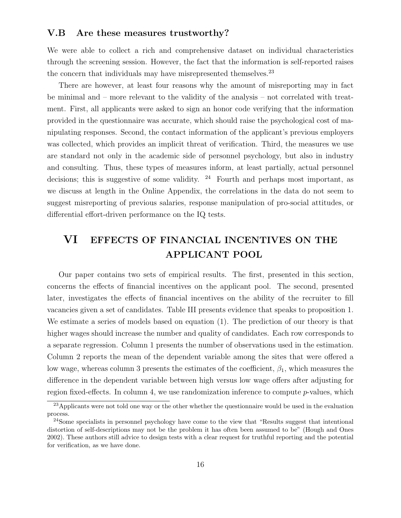## V.B Are these measures trustworthy?

We were able to collect a rich and comprehensive dataset on individual characteristics through the screening session. However, the fact that the information is self-reported raises the concern that individuals may have misrepresented themselves.<sup>23</sup>

There are however, at least four reasons why the amount of misreporting may in fact be minimal and – more relevant to the validity of the analysis – not correlated with treatment. First, all applicants were asked to sign an honor code verifying that the information provided in the questionnaire was accurate, which should raise the psychological cost of manipulating responses. Second, the contact information of the applicant's previous employers was collected, which provides an implicit threat of verification. Third, the measures we use are standard not only in the academic side of personnel psychology, but also in industry and consulting. Thus, these types of measures inform, at least partially, actual personnel decisions; this is suggestive of some validity.  $24$  Fourth and perhaps most important, as we discuss at length in the Online Appendix, the correlations in the data do not seem to suggest misreporting of previous salaries, response manipulation of pro-social attitudes, or differential effort-driven performance on the IQ tests.

# VI EFFECTS OF FINANCIAL INCENTIVES ON THE APPLICANT POOL

Our paper contains two sets of empirical results. The first, presented in this section, concerns the effects of financial incentives on the applicant pool. The second, presented later, investigates the effects of financial incentives on the ability of the recruiter to fill vacancies given a set of candidates. Table III presents evidence that speaks to proposition 1. We estimate a series of models based on equation (1). The prediction of our theory is that higher wages should increase the number and quality of candidates. Each row corresponds to a separate regression. Column 1 presents the number of observations used in the estimation. Column 2 reports the mean of the dependent variable among the sites that were offered a low wage, whereas column 3 presents the estimates of the coefficient,  $\beta_1$ , which measures the difference in the dependent variable between high versus low wage offers after adjusting for region fixed-effects. In column 4, we use randomization inference to compute p-values, which

 $\frac{23}{23}$ Applicants were not told one way or the other whether the questionnaire would be used in the evaluation process.

<sup>24</sup>Some specialists in personnel psychology have come to the view that "Results suggest that intentional distortion of self-descriptions may not be the problem it has often been assumed to be" (Hough and Ones 2002). These authors still advice to design tests with a clear request for truthful reporting and the potential for verification, as we have done.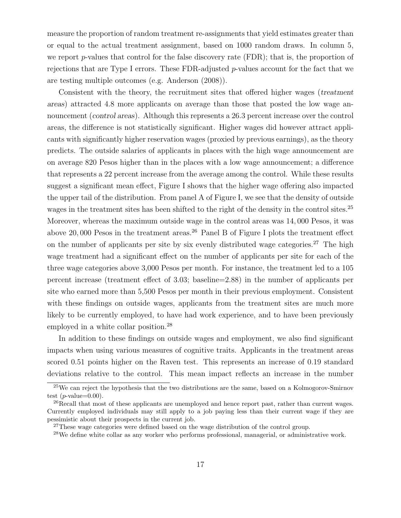measure the proportion of random treatment re-assignments that yield estimates greater than or equal to the actual treatment assignment, based on 1000 random draws. In column 5, we report p-values that control for the false discovery rate  $(FDR)$ ; that is, the proportion of rejections that are Type I errors. These FDR-adjusted  $p$ -values account for the fact that we are testing multiple outcomes (e.g. Anderson (2008)).

Consistent with the theory, the recruitment sites that offered higher wages (treatment areas) attracted 4.8 more applicants on average than those that posted the low wage announcement (control areas). Although this represents a 26.3 percent increase over the control areas, the difference is not statistically significant. Higher wages did however attract applicants with significantly higher reservation wages (proxied by previous earnings), as the theory predicts. The outside salaries of applicants in places with the high wage announcement are on average 820 Pesos higher than in the places with a low wage announcement; a difference that represents a 22 percent increase from the average among the control. While these results suggest a significant mean effect, Figure I shows that the higher wage offering also impacted the upper tail of the distribution. From panel A of Figure I, we see that the density of outside wages in the treatment sites has been shifted to the right of the density in the control sites.<sup>25</sup> Moreover, whereas the maximum outside wage in the control areas was 14, 000 Pesos, it was above 20,000 Pesos in the treatment areas.<sup>26</sup> Panel B of Figure I plots the treatment effect on the number of applicants per site by six evenly distributed wage categories.<sup>27</sup> The high wage treatment had a significant effect on the number of applicants per site for each of the three wage categories above 3,000 Pesos per month. For instance, the treatment led to a 105 percent increase (treatment effect of 3.03; baseline=2.88) in the number of applicants per site who earned more than 5,500 Pesos per month in their previous employment. Consistent with these findings on outside wages, applicants from the treatment sites are much more likely to be currently employed, to have had work experience, and to have been previously employed in a white collar position.<sup>28</sup>

In addition to these findings on outside wages and employment, we also find significant impacts when using various measures of cognitive traits. Applicants in the treatment areas scored 0.51 points higher on the Raven test. This represents an increase of 0.19 standard deviations relative to the control. This mean impact reflects an increase in the number

<sup>&</sup>lt;sup>25</sup>We can reject the hypothesis that the two distributions are the same, based on a Kolmogorov-Smirnov test  $(p$ -value= $0.00$ ).

<sup>&</sup>lt;sup>26</sup>Recall that most of these applicants are unemployed and hence report past, rather than current wages. Currently employed individuals may still apply to a job paying less than their current wage if they are pessimistic about their prospects in the current job.

<sup>&</sup>lt;sup>27</sup>These wage categories were defined based on the wage distribution of the control group.

 $^{28}$ We define white collar as any worker who performs professional, managerial, or administrative work.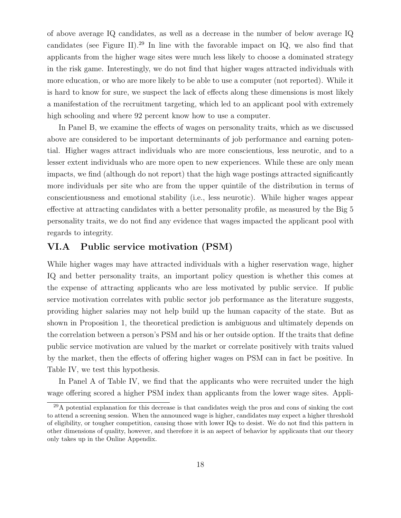of above average IQ candidates, as well as a decrease in the number of below average IQ candidates (see Figure II).<sup>29</sup> In line with the favorable impact on IQ, we also find that applicants from the higher wage sites were much less likely to choose a dominated strategy in the risk game. Interestingly, we do not find that higher wages attracted individuals with more education, or who are more likely to be able to use a computer (not reported). While it is hard to know for sure, we suspect the lack of effects along these dimensions is most likely a manifestation of the recruitment targeting, which led to an applicant pool with extremely high schooling and where 92 percent know how to use a computer.

In Panel B, we examine the effects of wages on personality traits, which as we discussed above are considered to be important determinants of job performance and earning potential. Higher wages attract individuals who are more conscientious, less neurotic, and to a lesser extent individuals who are more open to new experiences. While these are only mean impacts, we find (although do not report) that the high wage postings attracted significantly more individuals per site who are from the upper quintile of the distribution in terms of conscientiousness and emotional stability (i.e., less neurotic). While higher wages appear effective at attracting candidates with a better personality profile, as measured by the Big 5 personality traits, we do not find any evidence that wages impacted the applicant pool with regards to integrity.

## VI.A Public service motivation (PSM)

While higher wages may have attracted individuals with a higher reservation wage, higher IQ and better personality traits, an important policy question is whether this comes at the expense of attracting applicants who are less motivated by public service. If public service motivation correlates with public sector job performance as the literature suggests, providing higher salaries may not help build up the human capacity of the state. But as shown in Proposition 1, the theoretical prediction is ambiguous and ultimately depends on the correlation between a person's PSM and his or her outside option. If the traits that define public service motivation are valued by the market or correlate positively with traits valued by the market, then the effects of offering higher wages on PSM can in fact be positive. In Table IV, we test this hypothesis.

In Panel A of Table IV, we find that the applicants who were recruited under the high wage offering scored a higher PSM index than applicants from the lower wage sites. Appli-

 $^{29}$ A potential explanation for this decrease is that candidates weigh the pros and cons of sinking the cost to attend a screening session. When the announced wage is higher, candidates may expect a higher threshold of eligibility, or tougher competition, causing those with lower IQs to desist. We do not find this pattern in other dimensions of quality, however, and therefore it is an aspect of behavior by applicants that our theory only takes up in the Online Appendix.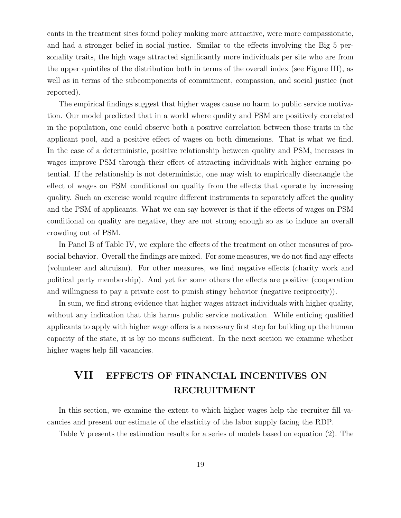cants in the treatment sites found policy making more attractive, were more compassionate, and had a stronger belief in social justice. Similar to the effects involving the Big 5 personality traits, the high wage attracted significantly more individuals per site who are from the upper quintiles of the distribution both in terms of the overall index (see Figure III), as well as in terms of the subcomponents of commitment, compassion, and social justice (not reported).

The empirical findings suggest that higher wages cause no harm to public service motivation. Our model predicted that in a world where quality and PSM are positively correlated in the population, one could observe both a positive correlation between those traits in the applicant pool, and a positive effect of wages on both dimensions. That is what we find. In the case of a deterministic, positive relationship between quality and PSM, increases in wages improve PSM through their effect of attracting individuals with higher earning potential. If the relationship is not deterministic, one may wish to empirically disentangle the effect of wages on PSM conditional on quality from the effects that operate by increasing quality. Such an exercise would require different instruments to separately affect the quality and the PSM of applicants. What we can say however is that if the effects of wages on PSM conditional on quality are negative, they are not strong enough so as to induce an overall crowding out of PSM.

In Panel B of Table IV, we explore the effects of the treatment on other measures of prosocial behavior. Overall the findings are mixed. For some measures, we do not find any effects (volunteer and altruism). For other measures, we find negative effects (charity work and political party membership). And yet for some others the effects are positive (cooperation and willingness to pay a private cost to punish stingy behavior (negative reciprocity)).

In sum, we find strong evidence that higher wages attract individuals with higher quality, without any indication that this harms public service motivation. While enticing qualified applicants to apply with higher wage offers is a necessary first step for building up the human capacity of the state, it is by no means sufficient. In the next section we examine whether higher wages help fill vacancies.

# VII EFFECTS OF FINANCIAL INCENTIVES ON RECRUITMENT

In this section, we examine the extent to which higher wages help the recruiter fill vacancies and present our estimate of the elasticity of the labor supply facing the RDP.

Table V presents the estimation results for a series of models based on equation (2). The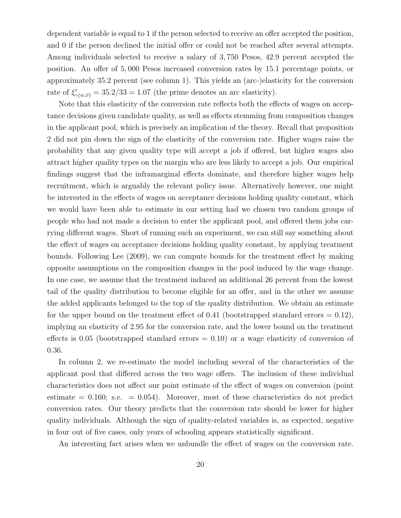dependent variable is equal to 1 if the person selected to receive an offer accepted the position, and 0 if the person declined the initial offer or could not be reached after several attempts. Among individuals selected to receive a salary of 3, 750 Pesos, 42.9 percent accepted the position. An offer of 5, 000 Pesos increased conversion rates by 15.1 percentage points, or approximately 35.2 percent (see column 1). This yields an (arc-)elasticity for the conversion rate of  $\xi'_{\gamma(w,\bar{v})} = 35.2/33 = 1.07$  (the prime denotes an arc elasticity).

Note that this elasticity of the conversion rate reflects both the effects of wages on acceptance decisions given candidate quality, as well as effects stemming from composition changes in the applicant pool, which is precisely an implication of the theory. Recall that proposition 2 did not pin down the sign of the elasticity of the conversion rate. Higher wages raise the probability that any given quality type will accept a job if offered, but higher wages also attract higher quality types on the margin who are less likely to accept a job. Our empirical findings suggest that the inframarginal effects dominate, and therefore higher wages help recruitment, which is arguably the relevant policy issue. Alternatively however, one might be interested in the effects of wages on acceptance decisions holding quality constant, which we would have been able to estimate in our setting had we chosen two random groups of people who had not made a decision to enter the applicant pool, and offered them jobs carrying different wages. Short of running such an experiment, we can still say something about the effect of wages on acceptance decisions holding quality constant, by applying treatment bounds. Following Lee (2009), we can compute bounds for the treatment effect by making opposite assumptions on the composition changes in the pool induced by the wage change. In one case, we assume that the treatment induced an additional 26 percent from the lowest tail of the quality distribution to become eligible for an offer, and in the other we assume the added applicants belonged to the top of the quality distribution. We obtain an estimate for the upper bound on the treatment effect of 0.41 (bootstrapped standard errors  $= 0.12$ ), implying an elasticity of 2.95 for the conversion rate, and the lower bound on the treatment effects is 0.05 (bootstrapped standard errors  $= 0.10$ ) or a wage elasticity of conversion of 0.36.

In column 2, we re-estimate the model including several of the characteristics of the applicant pool that differed across the two wage offers. The inclusion of these individual characteristics does not affect our point estimate of the effect of wages on conversion (point estimate  $= 0.160$ ; s.e.  $= 0.054$ ). Moreover, most of these characteristics do not predict conversion rates. Our theory predicts that the conversion rate should be lower for higher quality individuals. Although the sign of quality-related variables is, as expected, negative in four out of five cases, only years of schooling appears statistically significant.

An interesting fact arises when we unbundle the effect of wages on the conversion rate.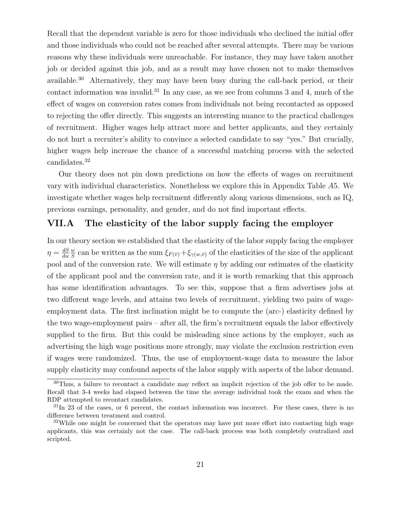Recall that the dependent variable is zero for those individuals who declined the initial offer and those individuals who could not be reached after several attempts. There may be various reasons why these individuals were unreachable. For instance, they may have taken another job or decided against this job, and as a result may have chosen not to make themselves available.<sup>30</sup> Alternatively, they may have been busy during the call-back period, or their contact information was invalid.<sup>31</sup> In any case, as we see from columns 3 and 4, much of the effect of wages on conversion rates comes from individuals not being recontacted as opposed to rejecting the offer directly. This suggests an interesting nuance to the practical challenges of recruitment. Higher wages help attract more and better applicants, and they certainly do not hurt a recruiter's ability to convince a selected candidate to say "yes." But crucially, higher wages help increase the chance of a successful matching process with the selected candidates.<sup>32</sup>

Our theory does not pin down predictions on how the effects of wages on recruitment vary with individual characteristics. Nonetheless we explore this in Appendix Table A5. We investigate whether wages help recruitment differently along various dimensions, such as IQ, previous earnings, personality, and gender, and do not find important effects.

## VII.A The elasticity of the labor supply facing the employer

In our theory section we established that the elasticity of the labor supply facing the employer  $\eta = \frac{dS}{du}$ dw w  $\frac{w}{S}$  can be written as the sum  $\xi_{F(\bar{v})}+\xi_{\gamma(w,\bar{v})}$  of the elasticities of the size of the applicant pool and of the conversion rate. We will estimate  $\eta$  by adding our estimates of the elasticity of the applicant pool and the conversion rate, and it is worth remarking that this approach has some identification advantages. To see this, suppose that a firm advertises jobs at two different wage levels, and attains two levels of recruitment, yielding two pairs of wageemployment data. The first inclination might be to compute the (arc-) elasticity defined by the two wage-employment pairs – after all, the firm's recruitment equals the labor effectively supplied to the firm. But this could be misleading since actions by the employer, such as advertising the high wage positions more strongly, may violate the exclusion restriction even if wages were randomized. Thus, the use of employment-wage data to measure the labor supply elasticity may confound aspects of the labor supply with aspects of the labor demand.

<sup>30</sup>Thus, a failure to recontact a candidate may reflect an implicit rejection of the job offer to be made. Recall that 3-4 weeks had elapsed between the time the average individual took the exam and when the RDP attempted to recontact candidates.

<sup>&</sup>lt;sup>31</sup>In 23 of the cases, or 6 percent, the contact information was incorrect. For these cases, there is no difference between treatment and control.

<sup>&</sup>lt;sup>32</sup>While one might be concerned that the operators may have put more effort into contacting high wage applicants, this was certainly not the case. The call-back process was both completely centralized and scripted.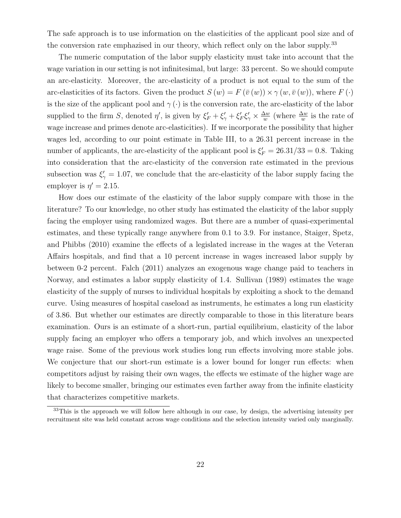The safe approach is to use information on the elasticities of the applicant pool size and of the conversion rate emphazised in our theory, which reflect only on the labor supply.<sup>33</sup>

The numeric computation of the labor supply elasticity must take into account that the wage variation in our setting is not infinitesimal, but large: 33 percent. So we should compute an arc-elasticity. Moreover, the arc-elasticity of a product is not equal to the sum of the arc-elasticities of its factors. Given the product  $S(w) = F(\bar{v}(w)) \times \gamma(w, \bar{v}(w))$ , where  $F(\cdot)$ is the size of the applicant pool and  $\gamma(\cdot)$  is the conversion rate, the arc-elasticity of the labor supplied to the firm S, denoted  $\eta'$ , is given by  $\xi'_F + \xi'_\gamma + \xi'_F \xi'_\gamma \times \frac{\Delta w}{w}$  $\frac{\Delta w}{w}$  (where  $\frac{\Delta w}{w}$  is the rate of wage increase and primes denote arc-elasticities). If we incorporate the possibility that higher wages led, according to our point estimate in Table III, to a 26.31 percent increase in the number of applicants, the arc-elasticity of the applicant pool is  $\xi_F = 26.31/33 = 0.8$ . Taking into consideration that the arc-elasticity of the conversion rate estimated in the previous subsection was  $\xi' = 1.07$ , we conclude that the arc-elasticity of the labor supply facing the employer is  $\eta' = 2.15$ .

How does our estimate of the elasticity of the labor supply compare with those in the literature? To our knowledge, no other study has estimated the elasticity of the labor supply facing the employer using randomized wages. But there are a number of quasi-experimental estimates, and these typically range anywhere from 0.1 to 3.9. For instance, Staiger, Spetz, and Phibbs (2010) examine the effects of a legislated increase in the wages at the Veteran Affairs hospitals, and find that a 10 percent increase in wages increased labor supply by between 0-2 percent. Falch (2011) analyzes an exogenous wage change paid to teachers in Norway, and estimates a labor supply elasticity of 1.4. Sullivan (1989) estimates the wage elasticity of the supply of nurses to individual hospitals by exploiting a shock to the demand curve. Using measures of hospital caseload as instruments, he estimates a long run elasticity of 3.86. But whether our estimates are directly comparable to those in this literature bears examination. Ours is an estimate of a short-run, partial equilibrium, elasticity of the labor supply facing an employer who offers a temporary job, and which involves an unexpected wage raise. Some of the previous work studies long run effects involving more stable jobs. We conjecture that our short-run estimate is a lower bound for longer run effects: when competitors adjust by raising their own wages, the effects we estimate of the higher wage are likely to become smaller, bringing our estimates even farther away from the infinite elasticity that characterizes competitive markets.

<sup>&</sup>lt;sup>33</sup>This is the approach we will follow here although in our case, by design, the advertising intensity per recruitment site was held constant across wage conditions and the selection intensity varied only marginally.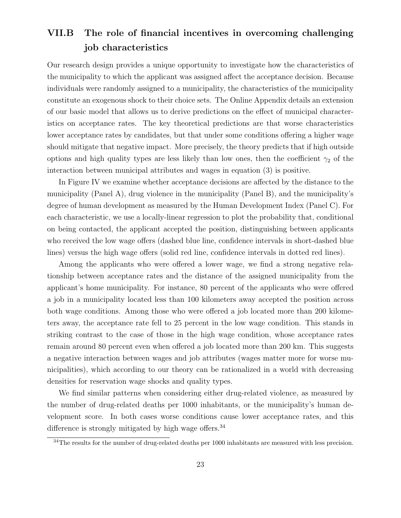# VII.B The role of financial incentives in overcoming challenging job characteristics

Our research design provides a unique opportunity to investigate how the characteristics of the municipality to which the applicant was assigned affect the acceptance decision. Because individuals were randomly assigned to a municipality, the characteristics of the municipality constitute an exogenous shock to their choice sets. The Online Appendix details an extension of our basic model that allows us to derive predictions on the effect of municipal characteristics on acceptance rates. The key theoretical predictions are that worse characteristics lower acceptance rates by candidates, but that under some conditions offering a higher wage should mitigate that negative impact. More precisely, the theory predicts that if high outside options and high quality types are less likely than low ones, then the coefficient  $\gamma_2$  of the interaction between municipal attributes and wages in equation (3) is positive.

In Figure IV we examine whether acceptance decisions are affected by the distance to the municipality (Panel A), drug violence in the municipality (Panel B), and the municipality's degree of human development as measured by the Human Development Index (Panel C). For each characteristic, we use a locally-linear regression to plot the probability that, conditional on being contacted, the applicant accepted the position, distinguishing between applicants who received the low wage offers (dashed blue line, confidence intervals in short-dashed blue lines) versus the high wage offers (solid red line, confidence intervals in dotted red lines).

Among the applicants who were offered a lower wage, we find a strong negative relationship between acceptance rates and the distance of the assigned municipality from the applicant's home municipality. For instance, 80 percent of the applicants who were offered a job in a municipality located less than 100 kilometers away accepted the position across both wage conditions. Among those who were offered a job located more than 200 kilometers away, the acceptance rate fell to 25 percent in the low wage condition. This stands in striking contrast to the case of those in the high wage condition, whose acceptance rates remain around 80 percent even when offered a job located more than 200 km. This suggests a negative interaction between wages and job attributes (wages matter more for worse municipalities), which according to our theory can be rationalized in a world with decreasing densities for reservation wage shocks and quality types.

We find similar patterns when considering either drug-related violence, as measured by the number of drug-related deaths per 1000 inhabitants, or the municipality's human development score. In both cases worse conditions cause lower acceptance rates, and this difference is strongly mitigated by high wage offers.  $34$ 

<sup>&</sup>lt;sup>34</sup>The results for the number of drug-related deaths per 1000 inhabitants are measured with less precision.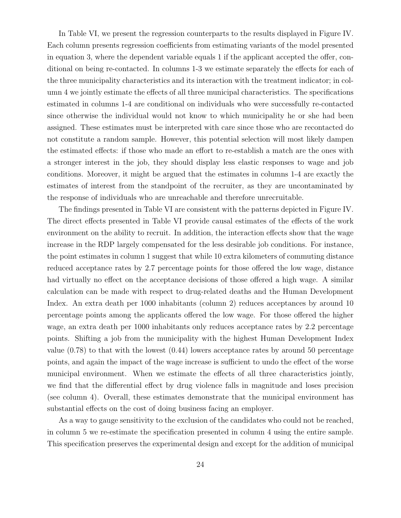In Table VI, we present the regression counterparts to the results displayed in Figure IV. Each column presents regression coefficients from estimating variants of the model presented in equation 3, where the dependent variable equals 1 if the applicant accepted the offer, conditional on being re-contacted. In columns 1-3 we estimate separately the effects for each of the three municipality characteristics and its interaction with the treatment indicator; in column 4 we jointly estimate the effects of all three municipal characteristics. The specifications estimated in columns 1-4 are conditional on individuals who were successfully re-contacted since otherwise the individual would not know to which municipality he or she had been assigned. These estimates must be interpreted with care since those who are recontacted do not constitute a random sample. However, this potential selection will most likely dampen the estimated effects: if those who made an effort to re-establish a match are the ones with a stronger interest in the job, they should display less elastic responses to wage and job conditions. Moreover, it might be argued that the estimates in columns 1-4 are exactly the estimates of interest from the standpoint of the recruiter, as they are uncontaminated by the response of individuals who are unreachable and therefore unrecruitable.

The findings presented in Table VI are consistent with the patterns depicted in Figure IV. The direct effects presented in Table VI provide causal estimates of the effects of the work environment on the ability to recruit. In addition, the interaction effects show that the wage increase in the RDP largely compensated for the less desirable job conditions. For instance, the point estimates in column 1 suggest that while 10 extra kilometers of commuting distance reduced acceptance rates by 2.7 percentage points for those offered the low wage, distance had virtually no effect on the acceptance decisions of those offered a high wage. A similar calculation can be made with respect to drug-related deaths and the Human Development Index. An extra death per 1000 inhabitants (column 2) reduces acceptances by around 10 percentage points among the applicants offered the low wage. For those offered the higher wage, an extra death per 1000 inhabitants only reduces acceptance rates by 2.2 percentage points. Shifting a job from the municipality with the highest Human Development Index value (0.78) to that with the lowest (0.44) lowers acceptance rates by around 50 percentage points, and again the impact of the wage increase is sufficient to undo the effect of the worse municipal environment. When we estimate the effects of all three characteristics jointly, we find that the differential effect by drug violence falls in magnitude and loses precision (see column 4). Overall, these estimates demonstrate that the municipal environment has substantial effects on the cost of doing business facing an employer.

As a way to gauge sensitivity to the exclusion of the candidates who could not be reached, in column 5 we re-estimate the specification presented in column 4 using the entire sample. This specification preserves the experimental design and except for the addition of municipal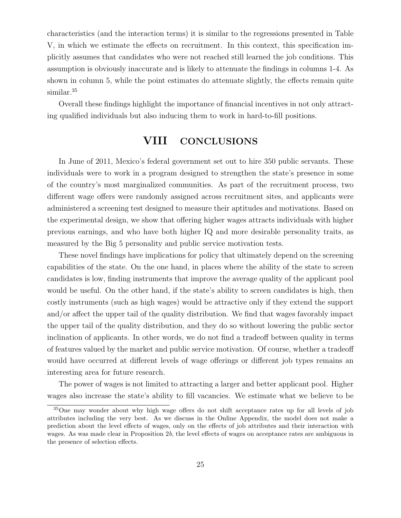characteristics (and the interaction terms) it is similar to the regressions presented in Table V, in which we estimate the effects on recruitment. In this context, this specification implicitly assumes that candidates who were not reached still learned the job conditions. This assumption is obviously inaccurate and is likely to attenuate the findings in columns 1-4. As shown in column 5, while the point estimates do attenuate slightly, the effects remain quite similar.<sup>35</sup>

Overall these findings highlight the importance of financial incentives in not only attracting qualified individuals but also inducing them to work in hard-to-fill positions.

# VIII CONCLUSIONS

In June of 2011, Mexico's federal government set out to hire 350 public servants. These individuals were to work in a program designed to strengthen the state's presence in some of the country's most marginalized communities. As part of the recruitment process, two different wage offers were randomly assigned across recruitment sites, and applicants were administered a screening test designed to measure their aptitudes and motivations. Based on the experimental design, we show that offering higher wages attracts individuals with higher previous earnings, and who have both higher IQ and more desirable personality traits, as measured by the Big 5 personality and public service motivation tests.

These novel findings have implications for policy that ultimately depend on the screening capabilities of the state. On the one hand, in places where the ability of the state to screen candidates is low, finding instruments that improve the average quality of the applicant pool would be useful. On the other hand, if the state's ability to screen candidates is high, then costly instruments (such as high wages) would be attractive only if they extend the support and/or affect the upper tail of the quality distribution. We find that wages favorably impact the upper tail of the quality distribution, and they do so without lowering the public sector inclination of applicants. In other words, we do not find a tradeoff between quality in terms of features valued by the market and public service motivation. Of course, whether a tradeoff would have occurred at different levels of wage offerings or different job types remains an interesting area for future research.

The power of wages is not limited to attracting a larger and better applicant pool. Higher wages also increase the state's ability to fill vacancies. We estimate what we believe to be

<sup>35</sup>One may wonder about why high wage offers do not shift acceptance rates up for all levels of job attributes including the very best. As we discuss in the Online Appendix, the model does not make a prediction about the level effects of wages, only on the effects of job attributes and their interaction with wages. As was made clear in Proposition 2b, the level effects of wages on acceptance rates are ambiguous in the presence of selection effects.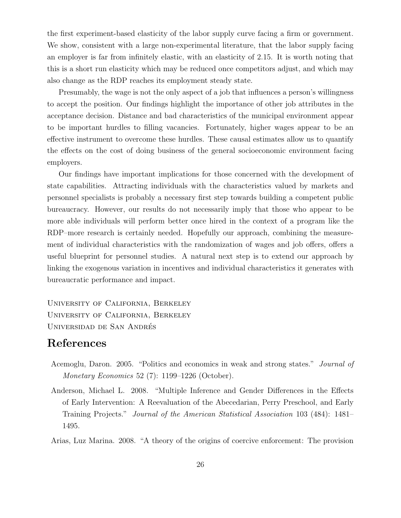the first experiment-based elasticity of the labor supply curve facing a firm or government. We show, consistent with a large non-experimental literature, that the labor supply facing an employer is far from infinitely elastic, with an elasticity of 2.15. It is worth noting that this is a short run elasticity which may be reduced once competitors adjust, and which may also change as the RDP reaches its employment steady state.

Presumably, the wage is not the only aspect of a job that influences a person's willingness to accept the position. Our findings highlight the importance of other job attributes in the acceptance decision. Distance and bad characteristics of the municipal environment appear to be important hurdles to filling vacancies. Fortunately, higher wages appear to be an effective instrument to overcome these hurdles. These causal estimates allow us to quantify the effects on the cost of doing business of the general socioeconomic environment facing employers.

Our findings have important implications for those concerned with the development of state capabilities. Attracting individuals with the characteristics valued by markets and personnel specialists is probably a necessary first step towards building a competent public bureaucracy. However, our results do not necessarily imply that those who appear to be more able individuals will perform better once hired in the context of a program like the RDP–more research is certainly needed. Hopefully our approach, combining the measurement of individual characteristics with the randomization of wages and job offers, offers a useful blueprint for personnel studies. A natural next step is to extend our approach by linking the exogenous variation in incentives and individual characteristics it generates with bureaucratic performance and impact.

University of California, Berkeley University of California, Berkeley Universidad de San Andres´

## References

- Acemoglu, Daron. 2005. "Politics and economics in weak and strong states." Journal of Monetary Economics 52 (7): 1199–1226 (October).
- Anderson, Michael L. 2008. "Multiple Inference and Gender Differences in the Effects of Early Intervention: A Reevaluation of the Abecedarian, Perry Preschool, and Early Training Projects." Journal of the American Statistical Association 103 (484): 1481– 1495.

Arias, Luz Marina. 2008. "A theory of the origins of coercive enforcement: The provision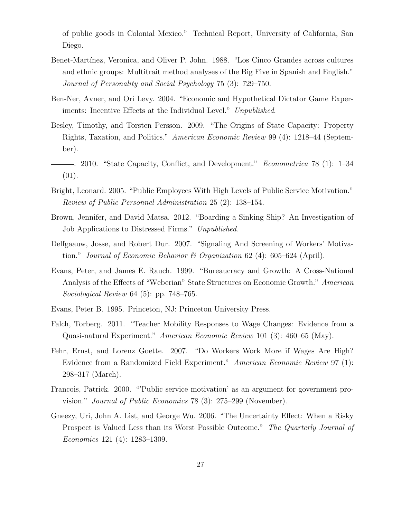of public goods in Colonial Mexico." Technical Report, University of California, San Diego.

- Benet-Martínez, Veronica, and Oliver P. John. 1988. "Los Cinco Grandes across cultures and ethnic groups: Multitrait method analyses of the Big Five in Spanish and English." Journal of Personality and Social Psychology 75 (3): 729–750.
- Ben-Ner, Avner, and Ori Levy. 2004. "Economic and Hypothetical Dictator Game Experiments: Incentive Effects at the Individual Level." Unpublished.
- Besley, Timothy, and Torsten Persson. 2009. "The Origins of State Capacity: Property Rights, Taxation, and Politics." American Economic Review 99 (4): 1218–44 (September).
- . 2010. "State Capacity, Conflict, and Development." Econometrica 78 (1): 1–34 (01).
- Bright, Leonard. 2005. "Public Employees With High Levels of Public Service Motivation." Review of Public Personnel Administration 25 (2): 138–154.
- Brown, Jennifer, and David Matsa. 2012. "Boarding a Sinking Ship? An Investigation of Job Applications to Distressed Firms." Unpublished.
- Delfgaauw, Josse, and Robert Dur. 2007. "Signaling And Screening of Workers' Motivation." Journal of Economic Behavior & Organization 62 (4): 605–624 (April).
- Evans, Peter, and James E. Rauch. 1999. "Bureaucracy and Growth: A Cross-National Analysis of the Effects of "Weberian" State Structures on Economic Growth." American Sociological Review 64 (5): pp. 748–765.
- Evans, Peter B. 1995. Princeton, NJ: Princeton University Press.
- Falch, Torberg. 2011. "Teacher Mobility Responses to Wage Changes: Evidence from a Quasi-natural Experiment." American Economic Review 101 (3): 460–65 (May).
- Fehr, Ernst, and Lorenz Goette. 2007. "Do Workers Work More if Wages Are High? Evidence from a Randomized Field Experiment." American Economic Review 97 (1): 298–317 (March).
- Francois, Patrick. 2000. "'Public service motivation' as an argument for government provision." Journal of Public Economics 78 (3): 275–299 (November).
- Gneezy, Uri, John A. List, and George Wu. 2006. "The Uncertainty Effect: When a Risky Prospect is Valued Less than its Worst Possible Outcome." The Quarterly Journal of Economics 121 (4): 1283–1309.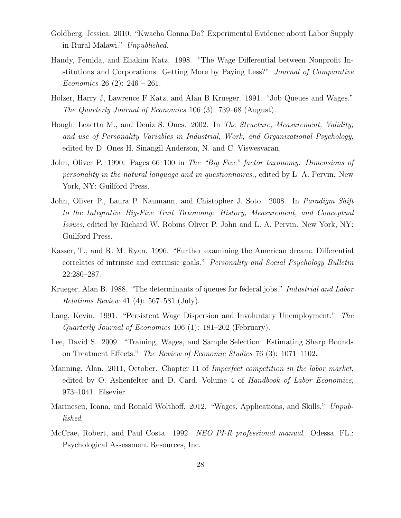- Goldberg, Jessica. 2010. "Kwacha Gonna Do? Experimental Evidence about Labor Supply in Rural Malawi." Unpublished.
- Handy, Femida, and Eliakim Katz. 1998. "The Wage Differential between Nonprofit Institutions and Corporations: Getting More by Paying Less?" Journal of Comparative *Economics* 26 (2):  $246 - 261$ .
- Holzer, Harry J, Lawrence F Katz, and Alan B Krueger. 1991. "Job Queues and Wages." The Quarterly Journal of Economics 106 (3): 739–68 (August).
- Hough, Leaetta M., and Deniz S. Ones. 2002. In The Structure, Measurement, Validity, and use of Personality Variables in Industrial, Work, and Organizational Psychology, edited by D. Ones H. Sinangil Anderson, N. and C. Viswesvaran.
- John, Oliver P. 1990. Pages 66–100 in The "Big Five" factor taxonomy: Dimensions of personality in the natural language and in questionnaires., edited by L. A. Pervin. New York, NY: Guilford Press.
- John, Oliver P., Laura P. Naumann, and Chistopher J. Soto. 2008. In Paradigm Shift to the Integrative Big-Five Trait Taxonomy: History, Measurement, and Conceptual Issues, edited by Richard W. Robins Oliver P. John and L. A. Pervin. New York, NY: Guilford Press.
- Kasser, T., and R. M. Ryan. 1996. "Further examining the American dream: Differential correlates of intrinsic and extrinsic goals." Personality and Social Psychology Bulletin 22:280–287.
- Krueger, Alan B. 1988. "The determinants of queues for federal jobs." *Industrial and Labor* Relations Review 41 (4): 567–581 (July).
- Lang, Kevin. 1991. "Persistent Wage Dispersion and Involuntary Unemployment." The Quarterly Journal of Economics 106 (1): 181–202 (February).
- Lee, David S. 2009. "Training, Wages, and Sample Selection: Estimating Sharp Bounds on Treatment Effects." The Review of Economic Studies 76 (3): 1071–1102.
- Manning, Alan. 2011, October. Chapter 11 of Imperfect competition in the labor market, edited by O. Ashenfelter and D. Card, Volume 4 of Handbook of Labor Economics, 973–1041. Elsevier.
- Marinescu, Ioana, and Ronald Wolthoff. 2012. "Wages, Applications, and Skills." Unpublished.
- McCrae, Robert, and Paul Costa. 1992. NEO PI-R professional manual. Odessa, FL.: Psychological Assessment Resources, Inc.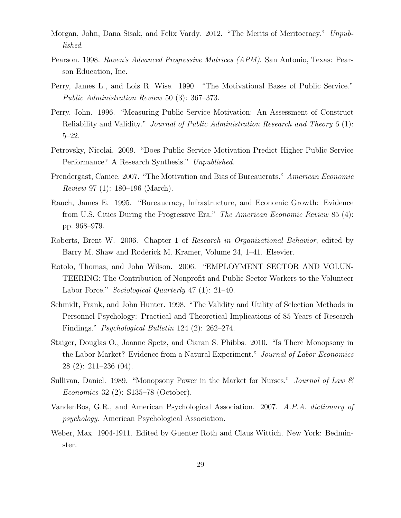- Morgan, John, Dana Sisak, and Felix Vardy. 2012. "The Merits of Meritocracy." Unpublished.
- Pearson. 1998. Raven's Advanced Progressive Matrices (APM). San Antonio, Texas: Pearson Education, Inc.
- Perry, James L., and Lois R. Wise. 1990. "The Motivational Bases of Public Service." Public Administration Review 50 (3): 367–373.
- Perry, John. 1996. "Measuring Public Service Motivation: An Assessment of Construct Reliability and Validity." Journal of Public Administration Research and Theory 6 (1): 5–22.
- Petrovsky, Nicolai. 2009. "Does Public Service Motivation Predict Higher Public Service Performance? A Research Synthesis." Unpublished.
- Prendergast, Canice. 2007. "The Motivation and Bias of Bureaucrats." American Economic Review 97 (1): 180–196 (March).
- Rauch, James E. 1995. "Bureaucracy, Infrastructure, and Economic Growth: Evidence from U.S. Cities During the Progressive Era." The American Economic Review 85 (4): pp. 968–979.
- Roberts, Brent W. 2006. Chapter 1 of Research in Organizational Behavior, edited by Barry M. Shaw and Roderick M. Kramer, Volume 24, 1–41. Elsevier.
- Rotolo, Thomas, and John Wilson. 2006. "EMPLOYMENT SECTOR AND VOLUN-TEERING: The Contribution of Nonprofit and Public Sector Workers to the Volunteer Labor Force." Sociological Quarterly 47 (1): 21-40.
- Schmidt, Frank, and John Hunter. 1998. "The Validity and Utility of Selection Methods in Personnel Psychology: Practical and Theoretical Implications of 85 Years of Research Findings." Psychological Bulletin 124 (2): 262–274.
- Staiger, Douglas O., Joanne Spetz, and Ciaran S. Phibbs. 2010. "Is There Monopsony in the Labor Market? Evidence from a Natural Experiment." Journal of Labor Economics 28 (2): 211–236 (04).
- Sullivan, Daniel. 1989. "Monopsony Power in the Market for Nurses." *Journal of Law*  $\mathcal{B}$ Economics 32 (2): S135–78 (October).
- VandenBos, G.R., and American Psychological Association. 2007. A.P.A. dictionary of psychology. American Psychological Association.
- Weber, Max. 1904-1911. Edited by Guenter Roth and Claus Wittich. New York: Bedminster.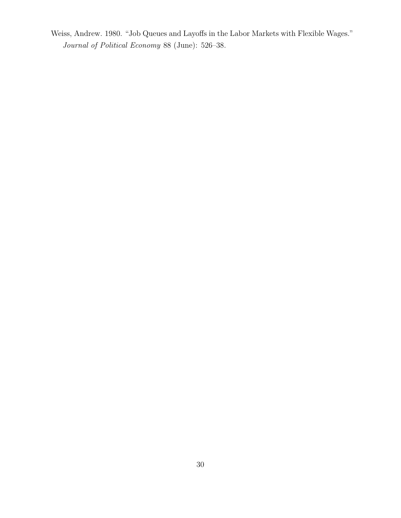Weiss, Andrew. 1980. "Job Queues and Layoffs in the Labor Markets with Flexible Wages." Journal of Political Economy 88 (June): 526–38.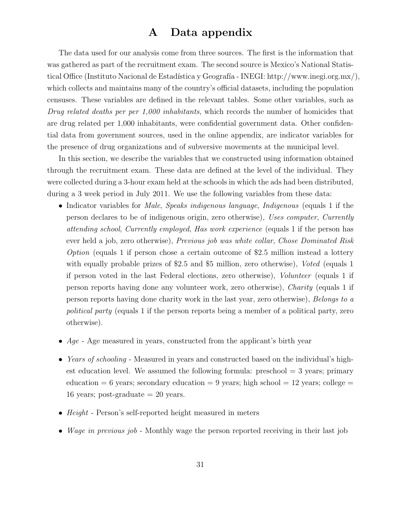# A Data appendix

The data used for our analysis come from three sources. The first is the information that was gathered as part of the recruitment exam. The second source is Mexico's National Statistical Office (Instituto Nacional de Estadística y Geografía - INEGI: http://www.inegi.org.mx/), which collects and maintains many of the country's official datasets, including the population censuses. These variables are defined in the relevant tables. Some other variables, such as Drug related deaths per per 1,000 inhabitants, which records the number of homicides that are drug related per 1,000 inhabitants, were confidential government data. Other confidential data from government sources, used in the online appendix, are indicator variables for the presence of drug organizations and of subversive movements at the municipal level.

In this section, we describe the variables that we constructed using information obtained through the recruitment exam. These data are defined at the level of the individual. They were collected during a 3-hour exam held at the schools in which the ads had been distributed, during a 3 week period in July 2011. We use the following variables from these data:

- Indicator variables for *Male, Speaks indigenous language, Indigenous* (equals 1 if the person declares to be of indigenous origin, zero otherwise), Uses computer, Currently attending school, Currently employed, Has work experience (equals 1 if the person has ever held a job, zero otherwise), Previous job was white collar, Chose Dominated Risk Option (equals 1 if person chose a certain outcome of \$2.5 million instead a lottery with equally probable prizes of \$2.5 and \$5 million, zero otherwise), Voted (equals 1 if person voted in the last Federal elections, zero otherwise), Volunteer (equals 1 if person reports having done any volunteer work, zero otherwise), Charity (equals 1 if person reports having done charity work in the last year, zero otherwise), Belongs to a political party (equals 1 if the person reports being a member of a political party, zero otherwise).
- Age Age measured in years, constructed from the applicant's birth year
- Years of schooling Measured in years and constructed based on the individual's highest education level. We assumed the following formula: preschool  $=$  3 years; primary education = 6 years; secondary education = 9 years; high school = 12 years; college = 16 years; post-graduate  $= 20$  years.
- Height Person's self-reported height measured in meters
- Wage in previous job Monthly wage the person reported receiving in their last job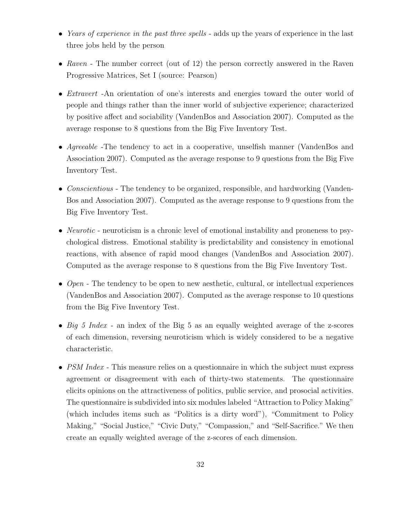- Years of experience in the past three spells adds up the years of experience in the last three jobs held by the person
- Raven The number correct (out of 12) the person correctly answered in the Raven Progressive Matrices, Set I (source: Pearson)
- *Extravert* -An orientation of one's interests and energies toward the outer world of people and things rather than the inner world of subjective experience; characterized by positive affect and sociability (VandenBos and Association 2007). Computed as the average response to 8 questions from the Big Five Inventory Test.
- Agreeable -The tendency to act in a cooperative, unselfish manner (VandenBos and Association 2007). Computed as the average response to 9 questions from the Big Five Inventory Test.
- Conscientious The tendency to be organized, responsible, and hardworking (Vanden-Bos and Association 2007). Computed as the average response to 9 questions from the Big Five Inventory Test.
- *Neurotic* neuroticism is a chronic level of emotional instability and proneness to psychological distress. Emotional stability is predictability and consistency in emotional reactions, with absence of rapid mood changes (VandenBos and Association 2007). Computed as the average response to 8 questions from the Big Five Inventory Test.
- Open The tendency to be open to new aesthetic, cultural, or intellectual experiences (VandenBos and Association 2007). Computed as the average response to 10 questions from the Big Five Inventory Test.
- Big 5 Index an index of the Big 5 as an equally weighted average of the z-scores of each dimension, reversing neuroticism which is widely considered to be a negative characteristic.
- PSM Index This measure relies on a questionnaire in which the subject must express agreement or disagreement with each of thirty-two statements. The questionnaire elicits opinions on the attractiveness of politics, public service, and prosocial activities. The questionnaire is subdivided into six modules labeled "Attraction to Policy Making" (which includes items such as "Politics is a dirty word"), "Commitment to Policy Making," "Social Justice," "Civic Duty," "Compassion," and "Self-Sacrifice." We then create an equally weighted average of the z-scores of each dimension.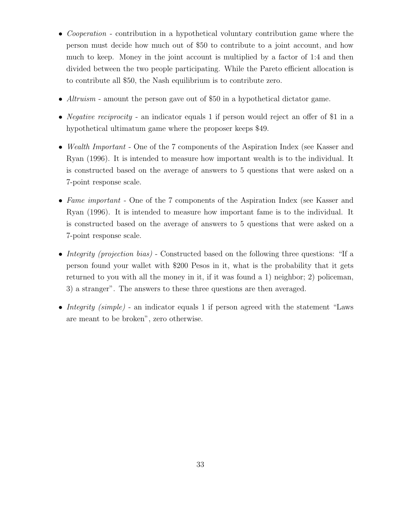- Cooperation contribution in a hypothetical voluntary contribution game where the person must decide how much out of \$50 to contribute to a joint account, and how much to keep. Money in the joint account is multiplied by a factor of 1:4 and then divided between the two people participating. While the Pareto efficient allocation is to contribute all \$50, the Nash equilibrium is to contribute zero.
- Altruism amount the person gave out of \$50 in a hypothetical dictator game.
- *Negative reciprocity* an indicator equals 1 if person would reject an offer of \$1 in a hypothetical ultimatum game where the proposer keeps \$49.
- Wealth Important One of the 7 components of the Aspiration Index (see Kasser and Ryan (1996). It is intended to measure how important wealth is to the individual. It is constructed based on the average of answers to 5 questions that were asked on a 7-point response scale.
- Fame important One of the 7 components of the Aspiration Index (see Kasser and Ryan (1996). It is intended to measure how important fame is to the individual. It is constructed based on the average of answers to 5 questions that were asked on a 7-point response scale.
- Integrity (projection bias) Constructed based on the following three questions: "If a person found your wallet with \$200 Pesos in it, what is the probability that it gets returned to you with all the money in it, if it was found a 1) neighbor; 2) policeman, 3) a stranger". The answers to these three questions are then averaged.
- Integrity (simple) an indicator equals 1 if person agreed with the statement "Laws" are meant to be broken", zero otherwise.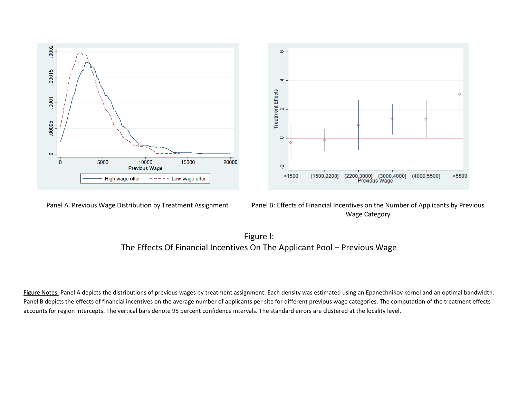

Panel A. Previous Wage Distribution by Treatment Assignment Panel B: Effects of Financial Incentives on the Number of Applicants by Previous Wage Category



Figure Notes: Panel A depicts the distributions of previous wages by treatment assignment. Each density was estimated using an Epanechnikov kernel and an optimal bandwidth. Panel B depicts the effects of financial incentives on the average number of applicants per site for different previous wage categories. The computation of the treatment effects accounts for region intercepts. The vertical bars denote 95 percent confidence intervals. The standard errors are clustered at the locality level.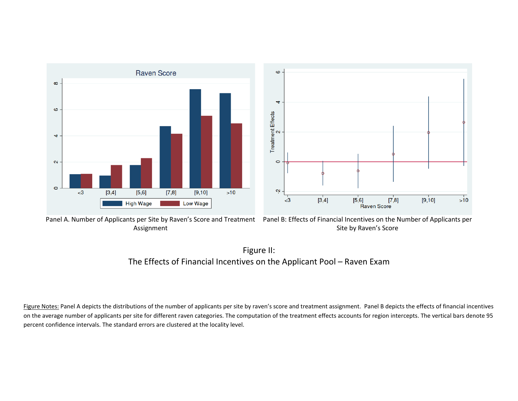

Assignment

Panel A. Number of Applicants per Site by Raven's Score and Treatment Panel B: Effects of Financial Incentives on the Number of Applicants per Site by Raven's Score



Figure Notes: Panel A depicts the distributions of the number of applicants per site by raven's score and treatment assignment. Panel B depicts the effects of financial incentives on the average number of applicants per site for different raven categories. The computation of the treatment effects accounts for region intercepts. The vertical bars denote 95 percent confidence intervals. The standard errors are clustered at the locality level.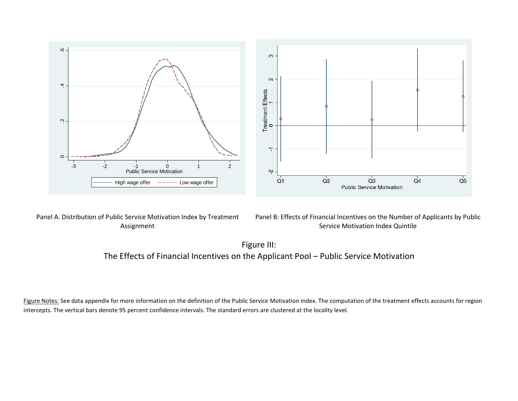

Panel A. Distribution of Public Service Motivation Index by Treatment Assignment

Panel B: Effects of Financial Incentives on the Number of Applicants by Public Service Motivation Index Quintile

 $Q<sub>5</sub>$ 

Figure III: The Effects of Financial Incentives on the Applicant Pool – Public Service Motivation

Figure Notes: See data appendix for more information on the definition of the Public Service Motivation index. The computation of the treatment effects accounts for region intercepts. The vertical bars denote 95 percent confidence intervals. The standard errors are clustered at the locality level.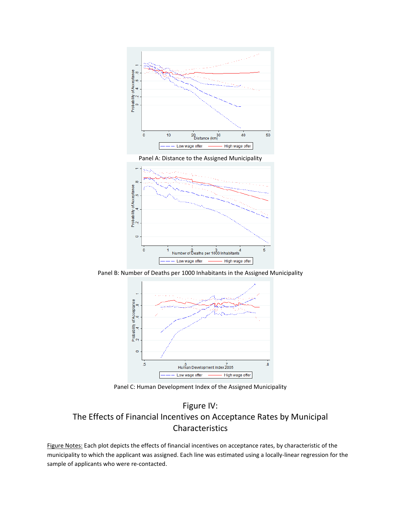

Panel A: Distance to the Assigned Municipality



Panel B: Number of Deaths per 1000 Inhabitants in the Assigned Municipality



Panel C: Human Development Index of the Assigned Municipality

# Figure IV: The Effects of Financial Incentives on Acceptance Rates by Municipal Characteristics

Figure Notes: Each plot depicts the effects of financial incentives on acceptance rates, by characteristic of the municipality to which the applicant was assigned. Each line was estimated using a locally-linear regression for the sample of applicants who were re-contacted.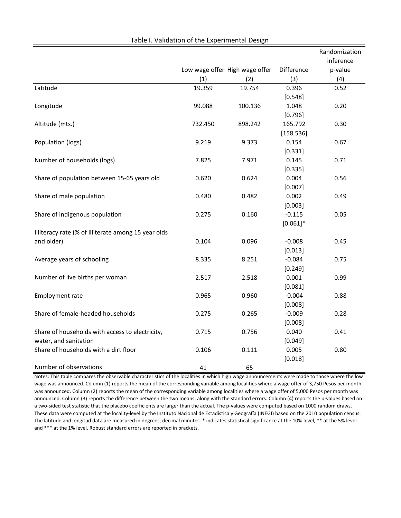|                                                     |         |                                |             | Randomization<br>inference |  |
|-----------------------------------------------------|---------|--------------------------------|-------------|----------------------------|--|
|                                                     |         | Low wage offer High wage offer | Difference  | p-value                    |  |
|                                                     | (1)     | (2)                            | (3)         | (4)                        |  |
| Latitude                                            | 19.359  | 19.754                         | 0.396       | 0.52                       |  |
|                                                     |         |                                | [0.548]     |                            |  |
| Longitude                                           | 99.088  | 100.136                        | 1.048       | 0.20                       |  |
|                                                     |         |                                | [0.796]     |                            |  |
| Altitude (mts.)                                     | 732.450 | 898.242                        | 165.792     | 0.30                       |  |
|                                                     |         |                                | [158.536]   |                            |  |
| Population (logs)                                   | 9.219   | 9.373                          | 0.154       | 0.67                       |  |
|                                                     |         |                                | [0.331]     |                            |  |
| Number of households (logs)                         | 7.825   | 7.971                          | 0.145       | 0.71                       |  |
|                                                     |         |                                | [0.335]     |                            |  |
| Share of population between 15-65 years old         | 0.620   | 0.624                          | 0.004       | 0.56                       |  |
|                                                     |         |                                | [0.007]     |                            |  |
| Share of male population                            | 0.480   | 0.482                          | 0.002       | 0.49                       |  |
|                                                     |         |                                | [0.003]     |                            |  |
| Share of indigenous population                      | 0.275   | 0.160                          | $-0.115$    | 0.05                       |  |
|                                                     |         |                                | $[0.061]$ * |                            |  |
| Illiteracy rate (% of illiterate among 15 year olds |         |                                |             |                            |  |
| and older)                                          | 0.104   | 0.096                          | $-0.008$    | 0.45                       |  |
|                                                     |         |                                | [0.013]     |                            |  |
| Average years of schooling                          | 8.335   | 8.251                          | $-0.084$    | 0.75                       |  |
|                                                     |         |                                | [0.249]     |                            |  |
| Number of live births per woman                     | 2.517   | 2.518                          | 0.001       | 0.99                       |  |
|                                                     |         |                                | [0.081]     |                            |  |
| Employment rate                                     | 0.965   | 0.960                          | $-0.004$    | 0.88                       |  |
|                                                     |         |                                | [0.008]     |                            |  |
| Share of female-headed households                   | 0.275   | 0.265                          | $-0.009$    | 0.28                       |  |
|                                                     |         |                                | [0.008]     |                            |  |
| Share of households with access to electricity,     | 0.715   | 0.756                          | 0.040       | 0.41                       |  |
| water, and sanitation                               |         |                                | [0.049]     |                            |  |
| Share of households with a dirt floor               | 0.106   | 0.111                          | 0.005       | 0.80                       |  |
|                                                     |         |                                | [0.018]     |                            |  |
| Number of observations                              | 41      | 65                             |             |                            |  |

Table I. Validation of the Experimental Design

Notes: This table compares the observable characteristics of the localities in which high wage announcements were made to those where the low wage was announced. Column (1) reports the mean of the corresponding variable among localities where a wage offer of 3,750 Pesos per month was announced. Column (2) reports the mean of the corresponding variable among localities where a wage offer of 5,000 Pesos per month was announced. Column (3) reports the difference between the two means, along with the standard errors. Column (4) reports the p-values based on a two-sided test statistic that the placebo coefficients are larger than the actual. The p-values were computed based on 1000 random draws. These data were computed at the locality-level by the Instituto Nacional de Estadística y Geografía (INEGI) based on the 2010 population census. The latitude and longitud data are measured in degrees, decimal minutes. \* indicates statistical significance at the 10% level, \*\* at the 5% level and \*\*\* at the 1% level. Robust standard errors are reported in brackets.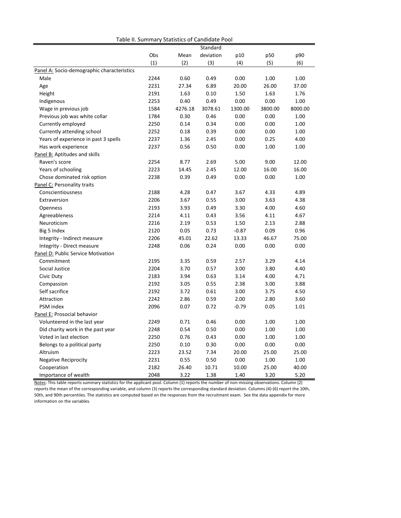|                                            | Table ii. Suifilialy Statistics of Candidate Pool |         |           |         |         |         |
|--------------------------------------------|---------------------------------------------------|---------|-----------|---------|---------|---------|
|                                            |                                                   |         | Standard  |         |         |         |
|                                            | Obs                                               | Mean    | deviation | p10     | p50     | p90     |
|                                            | (1)                                               | (2)     | (3)       | (4)     | (5)     | (6)     |
| Panel A: Socio-demographic characteristics |                                                   |         |           |         |         |         |
| Male                                       | 2244                                              | 0.60    | 0.49      | 0.00    | 1.00    | 1.00    |
| Age                                        | 2231                                              | 27.34   | 6.89      | 20.00   | 26.00   | 37.00   |
| Height                                     | 2191                                              | 1.63    | 0.10      | 1.50    | 1.63    | 1.76    |
| Indigenous                                 | 2253                                              | 0.40    | 0.49      | 0.00    | 0.00    | 1.00    |
| Wage in previous job                       | 1584                                              | 4276.18 | 3078.61   | 1300.00 | 3800.00 | 8000.00 |
| Previous job was white collar              | 1784                                              | 0.30    | 0.46      | 0.00    | 0.00    | 1.00    |
| Currently employed                         | 2250                                              | 0.14    | 0.34      | 0.00    | 0.00    | 1.00    |
| Currently attending school                 | 2252                                              | 0.18    | 0.39      | 0.00    | 0.00    | 1.00    |
| Years of experience in past 3 spells       | 2237                                              | 1.36    | 2.45      | 0.00    | 0.25    | 4.00    |
| Has work experience                        | 2237                                              | 0.56    | 0.50      | 0.00    | 1.00    | 1.00    |
| Panel B: Aptitudes and skills              |                                                   |         |           |         |         |         |
| Raven's score                              | 2254                                              | 8.77    | 2.69      | 5.00    | 9.00    | 12.00   |
| Years of schooling                         | 2223                                              | 14.45   | 2.45      | 12.00   | 16.00   | 16.00   |
| Chose dominated risk option                | 2238                                              | 0.39    | 0.49      | 0.00    | 0.00    | 1.00    |
| Panel C: Personality traits                |                                                   |         |           |         |         |         |
| Conscientiousness                          | 2188                                              | 4.28    | 0.47      | 3.67    | 4.33    | 4.89    |
| Extraversion                               | 2206                                              | 3.67    | 0.55      | 3.00    | 3.63    | 4.38    |
| <b>Openness</b>                            | 2193                                              | 3.93    | 0.49      | 3.30    | 4.00    | 4.60    |
| Agreeableness                              | 2214                                              | 4.11    | 0.43      | 3.56    | 4.11    | 4.67    |
| Neuroticism                                | 2216                                              | 2.19    | 0.53      | 1.50    | 2.13    | 2.88    |
| Big 5 Index                                | 2120                                              | 0.05    | 0.73      | $-0.87$ | 0.09    | 0.96    |
| Integrity - Indirect measure               | 2206                                              | 45.01   | 22.62     | 13.33   | 46.67   | 75.00   |
| Integrity - Direct measure                 | 2248                                              | 0.06    | 0.24      | 0.00    | 0.00    | 0.00    |
| Panel D: Public Service Motivation         |                                                   |         |           |         |         |         |
| Commitment                                 | 2195                                              | 3.35    | 0.59      | 2.57    | 3.29    | 4.14    |
| Social Justice                             | 2204                                              | 3.70    | 0.57      | 3.00    | 3.80    | 4.40    |
| Civic Duty                                 | 2183                                              | 3.94    | 0.63      | 3.14    | 4.00    | 4.71    |
| Compassion                                 | 2192                                              | 3.05    | 0.55      | 2.38    | 3.00    | 3.88    |
| Self sacrifice                             | 2192                                              | 3.72    | 0.61      | 3.00    | 3.75    | 4.50    |
| Attraction                                 | 2242                                              | 2.86    | 0.59      | 2.00    | 2.80    | 3.60    |
| PSM index                                  | 2096                                              | 0.07    | 0.72      | $-0.79$ | 0.05    | 1.01    |
| Panel E: Prosocial behavior                |                                                   |         |           |         |         |         |
| Volunteered in the last year               | 2249                                              | 0.71    | 0.46      | 0.00    | 1.00    | 1.00    |
| Did charity work in the past year          | 2248                                              | 0.54    | 0.50      | 0.00    | 1.00    | 1.00    |
| Voted in last election                     | 2250                                              | 0.76    | 0.43      | 0.00    | 1.00    | 1.00    |
| Belongs to a political party               | 2250                                              | 0.10    | 0.30      | 0.00    | 0.00    | 0.00    |
| Altruism                                   | 2223                                              | 23.52   | 7.34      | 20.00   | 25.00   | 25.00   |
| <b>Negative Reciprocity</b>                | 2231                                              | 0.55    | 0.50      | 0.00    | 1.00    | 1.00    |
| Cooperation                                | 2182                                              | 26.40   | 10.71     | 10.00   | 25.00   | 40.00   |
| Importance of wealth                       | 2048                                              | 3.22    | 1.38      | 1.40    | 3.20    | 5.20    |
|                                            |                                                   |         |           |         |         |         |

Table II. Summary Statistics of Candidate Pool

Notes: This table reports summary statistics for the applicant pool. Column (1) reports the number of non-missing observations. Column (2) reports the mean of the corresponding variable, and column (3) reports the corresponding standard deviation. Columns (4)-(6) report the 10th, 50th, and 90th percentiles. The statistics are computed based on the responses from the recruitment exam. See the data appendix for more information on the variables.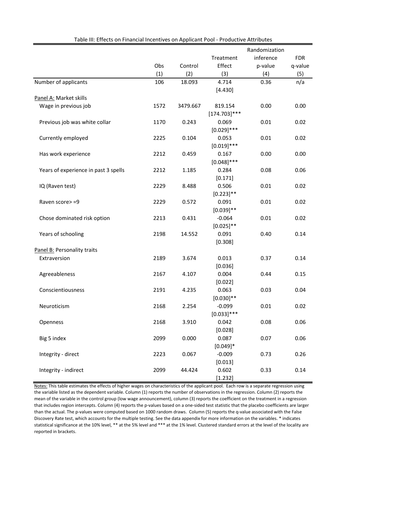|                                      |      |          |                            | Randomization |            |
|--------------------------------------|------|----------|----------------------------|---------------|------------|
|                                      |      |          | Treatment                  | inference     | <b>FDR</b> |
|                                      | Obs  | Control  | Effect                     | p-value       | q-value    |
|                                      | (1)  | (2)      | (3)                        | (4)           | (5)        |
| Number of applicants                 | 106  | 18.093   | 4.714                      | 0.36          | n/a        |
|                                      |      |          | [4.430]                    |               |            |
| Panel A: Market skills               |      |          |                            |               |            |
| Wage in previous job                 | 1572 | 3479.667 | 819.154<br>$[174.703]$ *** | 0.00          | 0.00       |
| Previous job was white collar        | 1170 | 0.243    | 0.069<br>$[0.029]$ ***     | 0.01          | 0.02       |
| Currently employed                   | 2225 | 0.104    | 0.053<br>$[0.019]$ ***     | 0.01          | 0.02       |
| Has work experience                  | 2212 | 0.459    | 0.167<br>$[0.048]$ ***     | 0.00          | 0.00       |
| Years of experience in past 3 spells | 2212 | 1.185    | 0.284<br>[0.171]           | 0.08          | 0.06       |
| IQ (Raven test)                      | 2229 | 8.488    | 0.506<br>$[0.223]$ **      | 0.01          | 0.02       |
| Raven score> =9                      | 2229 | 0.572    | 0.091<br>$[0.039]$ **      | 0.01          | 0.02       |
| Chose dominated risk option          | 2213 | 0.431    | $-0.064$<br>$[0.025]$ **   | 0.01          | 0.02       |
| Years of schooling                   | 2198 | 14.552   | 0.091<br>[0.308]           | 0.40          | 0.14       |
| Panel B: Personality traits          |      |          |                            |               |            |
| Extraversion                         | 2189 | 3.674    | 0.013<br>[0.036]           | 0.37          | 0.14       |
| Agreeableness                        | 2167 | 4.107    | 0.004<br>[0.022]           | 0.44          | 0.15       |
| Conscientiousness                    | 2191 | 4.235    | 0.063<br>$[0.030]$ **      | 0.03          | 0.04       |
| Neuroticism                          | 2168 | 2.254    | $-0.099$<br>$[0.033]$ ***  | 0.01          | 0.02       |
| Openness                             | 2168 | 3.910    | 0.042<br>[0.028]           | 0.08          | 0.06       |
| Big 5 index                          | 2099 | 0.000    | 0.087<br>$[0.049]*$        | 0.07          | 0.06       |
| Integrity - direct                   | 2223 | 0.067    | $-0.009$<br>[0.013]        | 0.73          | 0.26       |
| Integrity - indirect                 | 2099 | 44.424   | 0.602<br>[1.232]           | 0.33          | 0.14       |

Table III: Effects on Financial Incentives on Applicant Pool - Productive Attributes

Notes: This table estimates the effects of higher wages on characteristics of the applicant pool. Each row is a separate regression using the variable listed as the dependent variable. Column (1) reports the number of observations in the regression. Column (2) reports the mean of the variable in the control group (low wage announcement), column (3) reports the coefficient on the treatment in a regression that includes region intercepts. Column (4) reports the p-values based on a one-sided test statistic that the placebo coefficients are larger than the actual. The p-values were computed based on 1000 random draws. Column (5) reports the q-value associated with the False Discovery Rate test, which accounts for the multiple testing. See the data appendix for more information on the variables. \* indicates statistical significance at the 10% level, \*\* at the 5% level and \*\*\* at the 1% level. Clustered standard errors at the level of the locality are reported in brackets.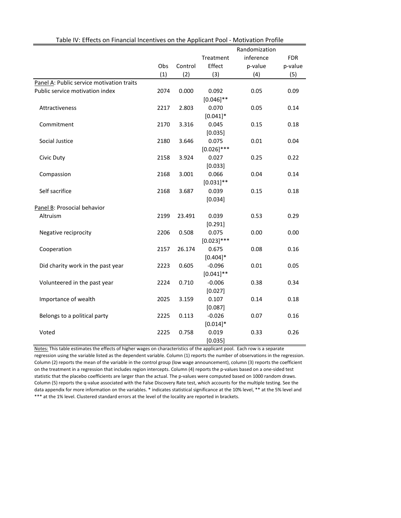|                                           |      |         |                        | Randomization |            |
|-------------------------------------------|------|---------|------------------------|---------------|------------|
|                                           |      |         | Treatment              | inference     | <b>FDR</b> |
|                                           | Obs  | Control | Effect                 | p-value       | p-value    |
|                                           | (1)  | (2)     | (3)                    | (4)           | (5)        |
| Panel A: Public service motivation traits |      |         |                        |               |            |
| Public service motivation index           | 2074 | 0.000   | 0.092                  | 0.05          | 0.09       |
|                                           |      |         | $[0.046]$ **           |               |            |
| Attractiveness                            | 2217 | 2.803   | 0.070                  | 0.05          | 0.14       |
|                                           |      |         | $[0.041]$ *            |               |            |
| Commitment                                | 2170 | 3.316   | 0.045                  | 0.15          | 0.18       |
|                                           |      |         | [0.035]                |               |            |
| Social Justice                            | 2180 | 3.646   | 0.075                  | 0.01          | 0.04       |
|                                           |      |         | $[0.026]$ ***          |               |            |
| Civic Duty                                | 2158 | 3.924   | 0.027                  | 0.25          | 0.22       |
|                                           |      |         | [0.033]                |               |            |
| Compassion                                | 2168 | 3.001   | 0.066                  | 0.04          | 0.14       |
|                                           |      |         | $[0.031]$ **           |               |            |
| Self sacrifice                            | 2168 | 3.687   | 0.039                  | 0.15          | 0.18       |
|                                           |      |         | [0.034]                |               |            |
| Panel B: Prosocial behavior               |      |         |                        |               |            |
| Altruism                                  | 2199 | 23.491  | 0.039                  | 0.53          | 0.29       |
|                                           |      |         | [0.291]                |               |            |
| Negative reciprocity                      | 2206 | 0.508   | 0.075                  | 0.00          | 0.00       |
|                                           |      |         | $[0.023]$ ***          |               |            |
| Cooperation                               | 2157 | 26.174  | 0.675                  | 0.08          | 0.16       |
|                                           |      |         | $[0.404]*$<br>$-0.096$ |               |            |
| Did charity work in the past year         | 2223 | 0.605   | $[0.041]$ **           | 0.01          | 0.05       |
| Volunteered in the past year              | 2224 | 0.710   | $-0.006$               | 0.38          | 0.34       |
|                                           |      |         | [0.027]                |               |            |
| Importance of wealth                      | 2025 | 3.159   | 0.107                  | 0.14          | 0.18       |
|                                           |      |         | [0.087]                |               |            |
| Belongs to a political party              | 2225 | 0.113   | $-0.026$               | 0.07          | 0.16       |
|                                           |      |         | $[0.014]*$             |               |            |
| Voted                                     | 2225 | 0.758   | 0.019                  | 0.33          | 0.26       |
|                                           |      |         | [0.035]                |               |            |

Table IV: Effects on Financial Incentives on the Applicant Pool - Motivation Profile

Notes: This table estimates the effects of higher wages on characteristics of the applicant pool. Each row is a separate regression using the variable listed as the dependent variable. Column (1) reports the number of observations in the regression. Column (2) reports the mean of the variable in the control group (low wage announcement), column (3) reports the coefficient on the treatment in a regression that includes region intercepts. Column (4) reports the p-values based on a one-sided test statistic that the placebo coefficients are larger than the actual. The p-values were computed based on 1000 random draws. Column (5) reports the q-value associated with the False Discovery Rate test, which accounts for the multiple testing. See the data appendix for more information on the variables. \* indicates statistical significance at the 10% level, \*\* at the 5% level and \*\*\* at the 1% level. Clustered standard errors at the level of the locality are reported in brackets.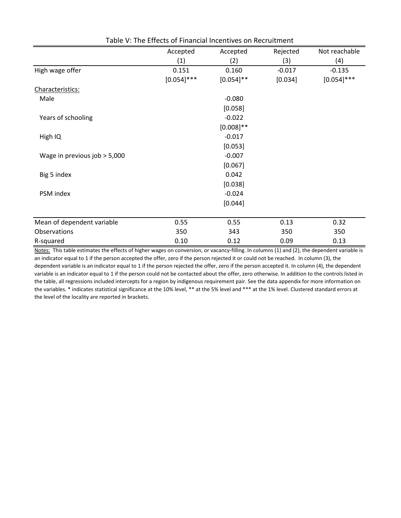|                              | Accepted      | Accepted     | Rejected | Not reachable |  |  |  |
|------------------------------|---------------|--------------|----------|---------------|--|--|--|
|                              | (1)           | (2)          | (3)      | (4)           |  |  |  |
| High wage offer              | 0.151         | 0.160        | $-0.017$ | $-0.135$      |  |  |  |
|                              | $[0.054]$ *** | $[0.054]$ ** | [0.034]  | $[0.054]$ *** |  |  |  |
| Characteristics:             |               |              |          |               |  |  |  |
| Male                         |               | $-0.080$     |          |               |  |  |  |
|                              |               | [0.058]      |          |               |  |  |  |
| Years of schooling           |               | $-0.022$     |          |               |  |  |  |
|                              |               | $[0.008]$ ** |          |               |  |  |  |
| High IQ                      |               | $-0.017$     |          |               |  |  |  |
|                              |               | [0.053]      |          |               |  |  |  |
| Wage in previous job > 5,000 | $-0.007$      |              |          |               |  |  |  |
|                              | [0.067]       |              |          |               |  |  |  |
| Big 5 index                  | 0.042         |              |          |               |  |  |  |
|                              |               | [0.038]      |          |               |  |  |  |
| PSM index                    |               | $-0.024$     |          |               |  |  |  |
|                              |               | [0.044]      |          |               |  |  |  |
|                              |               |              |          |               |  |  |  |
| Mean of dependent variable   | 0.55          | 0.55         | 0.13     | 0.32          |  |  |  |
| Observations                 | 350           | 343          | 350      | 350           |  |  |  |
| R-squared                    | 0.10          | 0.12         | 0.09     | 0.13          |  |  |  |

Table V: The Effects of Financial Incentives on Recruitment

Notes: This table estimates the effects of higher wages on conversion, or vacancy-filling. In columns (1) and (2), the dependent variable is an indicator equal to 1 if the person accepted the offer, zero if the person rejected it or could not be reached. In column (3), the dependent variable is an indicator equal to 1 if the person rejected the offer, zero if the person accepted it. In column (4), the dependent variable is an indicator equal to 1 if the person could not be contacted about the offer, zero otherwise. In addition to the controls listed in the table, all regressions included intercepts for a region by indigenous requirement pair. See the data appendix for more information on the variables. \* indicates statistical significance at the 10% level, \*\* at the 5% level and \*\*\* at the 1% level. Clustered standard errors at the level of the locality are reported in brackets.